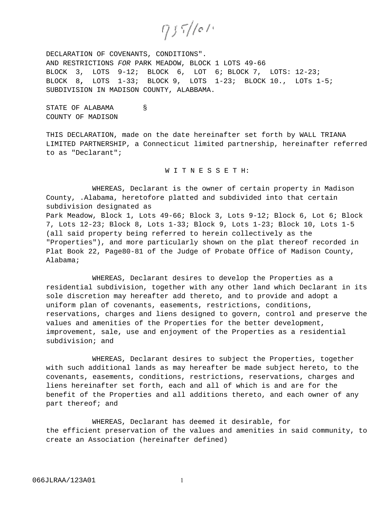$955/101$ 

DECLARATION OF COVENANTS, CONDITIONS". AND RESTRICTIONS FOR PARK MEADOW, BLOCK 1 LOTS 49-66 BLOCK 3,LOTS 9-12; BLOCK 6, LOT 6; BLOCK 7, LOTS: 12-23; BLOCK 8**,** LOTS 1-33; BLOCK 9, LOTS 1-23; BLOCK 10., LOTs 1-5; SUBDIVISION IN MADISON COUNTY, ALABBAMA.

STATE OF ALABAMA § COUNTY OF MADISON

THIS DECLARATION, made on the date hereinafter set forth by WALL TRIANA LIMITED PARTNERSHIP, a Connecticut limited partnership, hereinafter referred to as "Declarant";

W I T N E S S E T H:

WHEREAS, Declarant is the owner of certain property in Madison County, .Alabama, heretofore platted and subdivided into that certain subdivision designated as Park Meadow, Block 1, Lots 49-66; Block 3, Lots 9-12; Block 6, Lot 6; Block 7, Lots 12-23; Block 8, Lots 1-33; Block 9, Lots 1-23; Block 10, Lots 1-5 (all said property being referred to herein collectively as the "Properties"), and more particularly shown on the plat thereof recorded in Plat Book 22, Page80-81 of the Judge of Probate Office of Madison County, Alabama;

WHEREAS, Declarant desires to develop the Properties as a residential subdivision, together with any other land which Declarant in its sole discretion may hereafter add thereto, and to provide and adopt a uniform plan of covenants, easements, restrictions, conditions, reservations, charges and liens designed to govern, control and preserve the values and amenities of the Properties for the better development, improvement, sale, use and enjoyment of the Properties as a residential subdivision; and

WHEREAS, Declarant desires to subject the Properties, together with such additional lands as may hereafter be made subject hereto, to the covenants, easements, conditions, restrictions, reservations, charges and liens hereinafter set forth, each and all of which is and are for the benefit of the Properties and all additions thereto, and each owner of any part thereof; and

WHEREAS, Declarant has deemed it desirable, for the efficient preservation of the values and amenities in said community, to create an Association (hereinafter defined)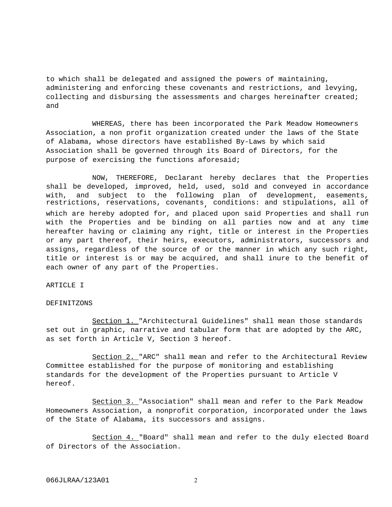to which shall be delegated and assigned the powers of maintaining, administering and enforcing these covenants and restrictions, and levying, collecting and disbursing the assessments and charges hereinafter created; and

WHEREAS, there has been incorporated the Park Meadow Homeowners Association, a non profit organization created under the laws of the State of Alabama, whose directors have established By-Laws by which said Association shall be governed through its Board of Directors, for the purpose of exercising the functions aforesaid;

NOW, THEREFORE, Declarant hereby declares that the Properties shall be developed, improved, held, used, sold and conveyed in accordance with, and subject to the following plan of development, easements, restrictions, reservations, covenants, conditions: and stipulations, all of which are hereby adopted for, and placed upon said Properties and shall run with the Properties and be binding on all parties now and at any time hereafter having or claiming any right, title or interest in the Properties or any part thereof, their heirs, executors, administrators, successors and assigns, regardless of the source of or the manner in which any such right, title or interest is or may be acquired, and shall inure to the benefit of each owner of any part of the Properties.

# ARTICLE I

# DEFINITZONS

Section 1. "Architectural Guidelines" shall mean those standards set out in graphic, narrative and tabular form that are adopted by the ARC, as set forth in Article V, Section 3 hereof.

Section 2. "ARC" shall mean and refer to the Architectural Review Committee established for the purpose of monitoring and establishing standards for the development of the Properties pursuant to Article V hereof.

Section 3. "Association" shall mean and refer to the Park Meadow Homeowners Association, a nonprofit corporation, incorporated under the laws of the State of Alabama, its successors and assigns.

Section 4. "Board" shall mean and refer to the duly elected Board of Directors of the Association.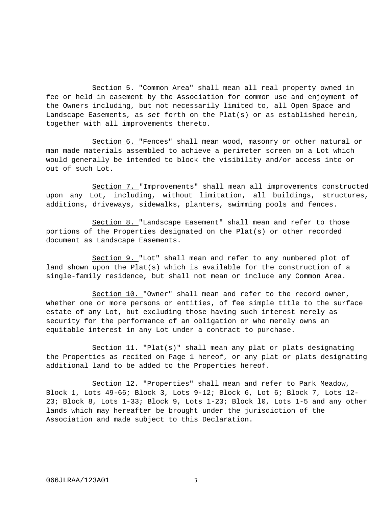Section 5. "Common Area" shall mean all real property owned in fee or held in easement by the Association for common use and enjoyment of the Owners including, but not necessarily limited to, all Open Space and Landscape Easements, as set forth on the Plat(s) or as established herein, together with all improvements thereto.

Section 6. "Fences" shall mean wood, masonry or other natural or man made materials assembled to achieve a perimeter screen on a Lot which would generally be intended to block the visibility and/or access into or out of such Lot.

Section 7. "Improvements" shall mean all improvements constructed upon any Lot, including, without limitation, all buildings, structures, additions, driveways, sidewalks, planters, swimming pools and fences.

Section 8. "Landscape Easement" shall mean and refer to those portions of the Properties designated on the Plat(s) or other recorded document as Landscape Easements.

Section 9. "Lot" shall mean and refer to any numbered plot of land shown upon the Plat(s) which is available for the construction of a single-family residence, but shall not mean or include any Common Area.

Section 10. "Owner" shall mean and refer to the record owner, whether one or more persons or entities, of fee simple title to the surface estate of any Lot, but excluding those having such interest merely as security for the performance of an obligation or who merely owns an equitable interest in any Lot under a contract to purchase.

Section 11. "Plat(s)" shall mean any plat or plats designating the Properties as recited on Page 1 hereof, or any plat or plats designating additional land to be added to the Properties hereof.

Section 12. "Properties" shall mean and refer to Park Meadow, Block 1, Lots 49-66; Block 3, Lots 9-12; Block 6, Lot 6; Block 7, Lots 12- 23; Block 8, Lots 1-33; Block 9, Lots 1-23; Block l0, Lots 1-5 and any other lands which may hereafter be brought under the jurisdiction of the Association and made subject to this Declaration.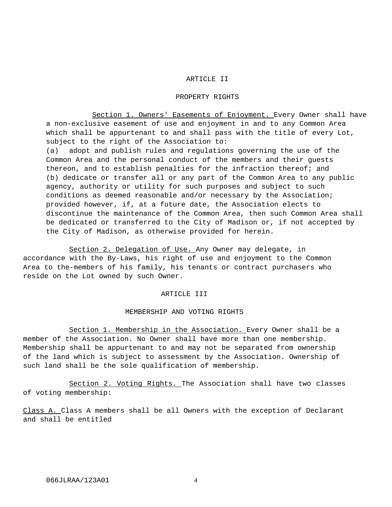# ARTICLE II

# PROPERTY RIGHTS

Section 1. Owners' Easements of Enjoyment. Every Owner shall have a non-exclusive easement of use and enjoyment in and to any Common Area which shall be appurtenant to and shall pass with the title of every Lot, subject to the right of the Association to: (a) adopt and publish rules and regulations governing the use of the Common Area and the personal conduct of the members and their guests thereon, and to establish penalties for the infraction thereof; and (b) dedicate or transfer all or any part of the Common Area to any public agency, authority or utility for such purposes and subject to such conditions as deemed reasonable and/or necessary by the Association; provided however, if, at a future date, the Association elects to discontinue the maintenance of the Common Area, then such Common Area shall be dedicated or transferred to the City of Madison or, if not accepted by the City of Madison, as otherwise provided for herein.

Section 2. Delegation of Use. Any Owner may delegate, in accordance with the By-Laws, his right of use and enjoyment to the Common Area to the-members of his family, his tenants or contract purchasers who reside on the Lot owned by such Owner.

# ARTICLE III

#### MEMBERSHIP AND VOTING RIGHTS

Section 1. Membership in the Association. Every Owner shall be a member of the Association. No Owner shall have more than one membership. Membership shall be appurtenant to and may not be separated from ownership of the land which is subject to assessment by the Association. Ownership of such land shall be the sole qualification of membership.

Section 2. Voting Rights. The Association shall have two classes of voting membership:

Class A. Class A members shall be all Owners with the exception of Declarant and shall be entitled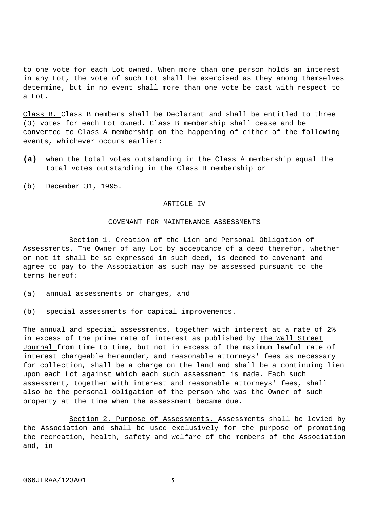to one vote for each Lot owned. When more than one person holds an interest in any Lot, the vote of such Lot shall be exercised as they among themselves determine, but in no event shall more than one vote be cast with respect to a Lot.

Class B. Class B members shall be Declarant and shall be entitled to three (3) votes for each Lot owned. Class B membership shall cease and be converted to Class A membership on the happening of either of the following events, whichever occurs earlier:

- **(a)** when the total votes outstanding in the Class A membership equal the total votes outstanding in the Class B membership or
- (b) December 31, 1995.

#### ARTICLE IV

# COVENANT FOR MAINTENANCE ASSESSMENTS

Section 1. Creation of the Lien and Personal Obligation of Assessments. The Owner of any Lot by acceptance of a deed therefor, whether or not it shall be so expressed in such deed, is deemed to covenant and agree to pay to the Association as such may be assessed pursuant to the terms hereof:

- (a) annual assessments or charges, and
- (b) special assessments for capital improvements.

The annual and special assessments, together with interest at a rate of 2% in excess of the prime rate of interest as published by The Wall Street Journal from time to time, but not in excess of the maximum lawful rate of interest chargeable hereunder, and reasonable attorneys' fees as necessary for collection, shall be a charge on the land and shall be a continuing lien upon each Lot against which each such assessment is made. Each such assessment, together with interest and reasonable attorneys' fees, shall also be the personal obligation of the person who was the Owner of such property at the time when the assessment became due.

Section 2. Purpose of Assessments. Assessments shall be levied by the Association and shall be used exclusively for the purpose of promoting the recreation, health, safety and welfare of the members of the Association and, in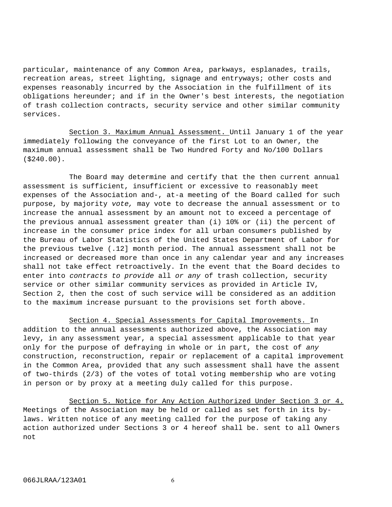particular, maintenance of any Common Area, parkways, esplanades, trails, recreation areas, street lighting, signage and entryways; other costs and expenses reasonably incurred by the Association in the fulfillment of its obligations hereunder; and if in the Owner's best interests, the negotiation of trash collection contracts, security service and other similar community services.

Section 3. Maximum Annual Assessment. Until January 1 of the year immediately following the conveyance of the first Lot to an Owner, the maximum annual assessment shall be Two Hundred Forty and No/100 Dollars (\$240.00).

The Board may determine and certify that the then current annual assessment is sufficient, insufficient or excessive to reasonably meet expenses of the Association and-, at-a meeting of the Board called for such purpose, by majority vote, may vote to decrease the annual assessment or to increase the annual assessment by an amount not to exceed a percentage of the previous annual assessment greater than (i) 10% or (ii) the percent of increase in the consumer price index for all urban consumers published by the Bureau of Labor Statistics of the United States Department of Labor for the previous twelve (.12] month period. The annual assessment shall not be increased or decreased more than once in any calendar year and any increases shall not take effect retroactively. In the event that the Board decides to enter into contracts to provide all or any of trash collection, security service or other similar community services as provided in Article IV, Section 2, then the cost of such service will be considered as an addition to the maximum increase pursuant to the provisions set forth above.

Section 4. Special Assessments for Capital Improvements. In addition to the annual assessments authorized above, the Association may levy, in any assessment year, a special assessment applicable to that year only for the purpose of defraying in whole or in part, the cost of any construction, reconstruction, repair or replacement of a capital improvement in the Common Area, provided that any such assessment shall have the assent of two-thirds (2/3) of the votes of total voting membership who are voting in person or by proxy at a meeting duly called for this purpose.

Section 5. Notice for Any Action Authorized Under Section 3 or 4. Meetings of the Association may be held or called as set forth in its bylaws. Written notice of any meeting called for the purpose of taking any action authorized under Sections 3 or 4 hereof shall be. sent to all Owners not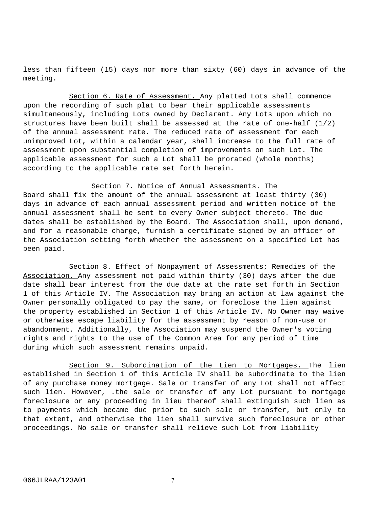less than fifteen (15) days nor more than sixty (60) days in advance of the meeting.

Section 6. Rate of Assessment. Any platted Lots shall commence upon the recording of such plat to bear their applicable assessments simultaneously, including Lots owned by Declarant. Any Lots upon which no structures have been built shall be assessed at the rate of one-half (1/2) of the annual assessment rate. The reduced rate of assessment for each unimproved Lot, within a calendar year, shall increase to the full rate of assessment upon substantial completion of improvements on such Lot. The applicable assessment for such a Lot shall be prorated (whole months) according to the applicable rate set forth herein.

# Section 7. Notice of Annual Assessments. The

Board shall fix the amount of the annual assessment at least thirty (30) days in advance of each annual assessment period and written notice of the annual assessment shall be sent to every Owner subject thereto. The due dates shall be established by the Board. The Association shall, upon demand, and for a reasonable charge, furnish a certificate signed by an officer of the Association setting forth whether the assessment on a specified Lot has been paid.

Section 8. Effect of Nonpayment of Assessments; Remedies of the Association. Any assessment not paid within thirty (30) days after the due date shall bear interest from the due date at the rate set forth in Section 1 of this Article IV. The Association may bring an action at law against the Owner personally obligated to pay the same, or foreclose the lien against the property established in Section 1 of this Article IV. No Owner may waive or otherwise escape liability for the assessment by reason of non-use or abandonment. Additionally, the Association may suspend the Owner's voting rights and rights to the use of the Common Area for any period of time during which such assessment remains unpaid.

Section 9. Subordination of the Lien to Mortgages. The lien established in Section 1 of this Article IV shall be subordinate to the lien of any purchase money mortgage. Sale or transfer of any Lot shall not affect such lien. However, .the sale or transfer of any Lot pursuant to mortgage foreclosure or any proceeding in lieu thereof shall extinguish such lien as to payments which became due prior to such sale or transfer, but only to that extent, and otherwise the lien shall survive such foreclosure or other proceedings. No sale or transfer shall relieve such Lot from liability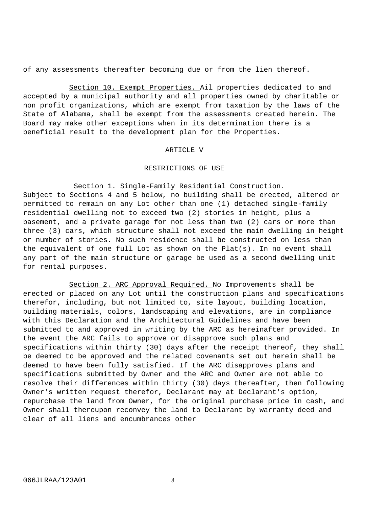of any assessments thereafter becoming due or from the lien thereof.

Section 10. Exempt Properties. Ail properties dedicated to and accepted by a municipal authority and all properties owned by charitable or non profit organizations, which are exempt from taxation by the laws of the State of Alabama, shall be exempt from the assessments created herein. The Board may make other exceptions when in its determination there is a beneficial result to the development plan for the Properties.

#### ARTICLE V

# RESTRICTIONS OF USE

# Section 1. Single-Family Residential Construction.

Subject to Sections 4 and 5 below, no building shall be erected, altered or permitted to remain on any Lot other than one (1) detached single-family residential dwelling not to exceed two (2) stories in height, plus a basement, and a private garage for not less than two (2) cars or more than three (3) cars, which structure shall not exceed the main dwelling in height or number of stories. No such residence shall be constructed on less than the equivalent of one full Lot as shown on the  $Plat(s)$ . In no event shall any part of the main structure or garage be used as a second dwelling unit for rental purposes.

Section 2. ARC Approval Required. No Improvements shall be erected or placed on any Lot until the construction plans and specifications therefor, including, but not limited to, site layout, building location, building materials, colors, landscaping and elevations, are in compliance with this Declaration and the Architectural Guidelines and have been submitted to and approved in writing by the ARC as hereinafter provided. In the event the ARC fails to approve or disapprove such plans and specifications within thirty (30) days after the receipt thereof, they shall be deemed to be approved and the related covenants set out herein shall be deemed to have been fully satisfied. If the ARC disapproves plans and specifications submitted by Owner and the ARC and Owner are not able to resolve their differences within thirty (30) days thereafter, then following Owner's written request therefor, Declarant may at Declarant's option, repurchase the land from Owner, for the original purchase price in cash, and Owner shall thereupon reconvey the land to Declarant by warranty deed and clear of all liens and encumbrances other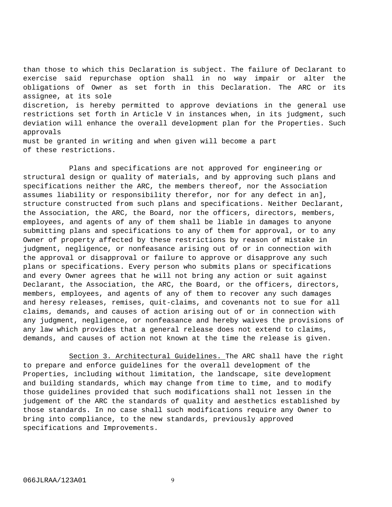than those to which this Declaration is subject. The failure of Declarant to exercise said repurchase option shall in no way impair or alter the obligations of Owner as set forth in this Declaration. The ARC or its assignee, at its sole discretion, is hereby permitted to approve deviations in the general use restrictions set forth in Article V in instances when, in its judgment, such deviation will enhance the overall development plan for the Properties. Such approvals must be granted in writing and when given will become a part of these restrictions.

Plans and specifications are not approved for engineering or structural design or quality of materials, and by approving such plans and specifications neither the ARC, the members thereof, nor the Association assumes liability or responsibility therefor, nor for any defect in an], structure constructed from such plans and specifications. Neither Declarant, the Association, the ARC, the Board, nor the officers, directors, members, employees, and agents of any of them shall be liable in damages to anyone submitting plans and specifications to any of them for approval, or to any Owner of property affected by these restrictions by reason of mistake in judgment, negligence, or nonfeasance arising out of or in connection with the approval or disapproval or failure to approve or disapprove any such plans or specifications. Every person who submits plans or specifications and every Owner agrees that he will not bring any action or suit against Declarant, the Association, the ARC, the Board, or the officers, directors, members, employees, and agents of any of them to recover any such damages and heresy releases, remises, quit-claims, and covenants not to sue for all claims, demands, and causes of action arising out of or in connection with any judgment, negligence, or nonfeasance and hereby waives the provisions of any law which provides that a general release does not extend to claims, demands, and causes of action not known at the time the release is given.

Section 3. Architectural Guidelines. The ARC shall have the right to prepare and enforce guidelines for the overall development of the Properties, including without limitation, the landscape, site development and building standards, which may change from time to time, and to modify those guidelines provided that such modifications shall not lessen in the judgement of the ARC the standards of quality and aesthetics established by those standards. In no case shall such modifications require any Owner to bring into compliance, to the new standards, previously approved specifications and Improvements.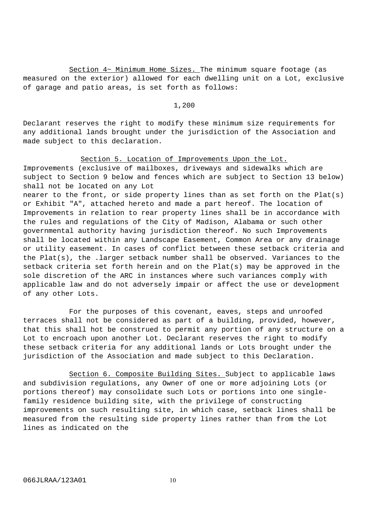Section 4~ Minimum Home Sizes. The minimum square footage (as measured on the exterior) allowed for each dwelling unit on a Lot, exclusive of garage and patio areas, is set forth as follows:

# 1,200

Declarant reserves the right to modify these minimum size requirements for any additional lands brought under the jurisdiction of the Association and made subject to this declaration.

# Section 5. Location of Improvements Upon the Lot.

Improvements (exclusive of mailboxes, driveways and sidewalks which are subject to Section 9 below and fences which are subject to Section 13 below) shall not be located on any Lot

nearer to the front, or side property lines than as set forth on the Plat(s) or Exhibit "A", attached hereto and made a part hereof. The location of Improvements in relation to rear property lines shall be in accordance with the rules and regulations of the City of Madison, Alabama or such other governmental authority having jurisdiction thereof. No such Improvements shall be located within any Landscape Easement, Common Area or any drainage or utility easement. In cases of conflict between these setback criteria and the Plat(s), the .larger setback number shall be observed. Variances to the setback criteria set forth herein and on the Plat(s) may be approved in the sole discretion of the ARC in instances where such variances comply with applicable law and do not adversely impair or affect the use or development of any other Lots.

For the purposes of this covenant, eaves, steps and unroofed terraces shall not be considered as part of a building, provided, however, that this shall hot be construed to permit any portion of any structure on a Lot to encroach upon another Lot. Declarant reserves the right to modify these setback criteria for any additional lands or Lots brought under the jurisdiction of the Association and made subject to this Declaration.

Section 6. Composite Building Sites. Subject to applicable laws and subdivision regulations, any Owner of one or more adjoining Lots (or portions thereof) may consolidate such Lots or portions into one singlefamily residence building site, with the privilege of constructing improvements on such resulting site, in which case, setback lines shall be measured from the resulting side property lines rather than from the Lot lines as indicated on the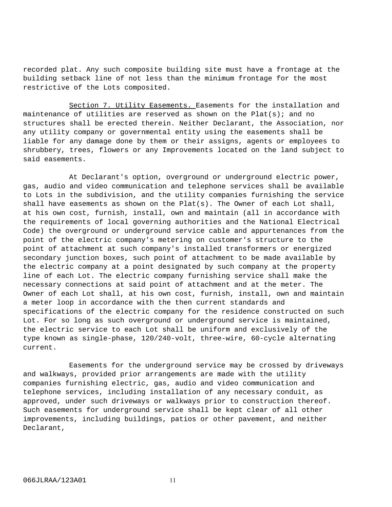recorded plat. Any such composite building site must have a frontage at the building setback line of not less than the minimum frontage for the most restrictive of the Lots composited.

Section 7. Utility Easements. Easements for the installation and maintenance of utilities are reserved as shown on the Plat(s); and no structures shall be erected therein. Neither Declarant, the Association, nor any utility company or governmental entity using the easements shall be liable for any damage done by them or their assigns, agents or employees to shrubbery, trees, flowers or any Improvements located on the land subject to said easements.

At Declarant's option, overground or underground electric power, gas, audio and video communication and telephone services shall be available to Lots in the subdivision, and the utility companies furnishing the service shall have easements as shown on the  $Plat(s)$ . The Owner of each Lot shall, at his own cost, furnish, install, own and maintain (all in accordance with the requirements of local governing authorities and the National Electrical Code) the overground or underground service cable and appurtenances from the point of the electric company's metering on customer's structure to the point of attachment at such company's installed transformers or energized secondary junction boxes, such point of attachment to be made available by the electric company at a point designated by such company at the property line of each Lot. The electric company furnishing service shall make the necessary connections at said point of attachment and at the meter. The Owner of each Lot shall, at his own cost, furnish, install, own and maintain a meter loop in accordance with the then current standards and specifications of the electric company for the residence constructed on such Lot. For so long as such overground or underground service is maintained, the electric service to each Lot shall be uniform and exclusively of the type known as single-phase, 120/240-volt, three-wire, 60-cycle alternating current.

Easements for the underground service may be crossed by driveways and walkways, provided prior arrangements are made with the utility companies furnishing electric, gas, audio and video communication and telephone services, including installation of any necessary conduit, as approved, under such driveways or walkways prior to construction thereof. Such easements for underground service shall be kept clear of all other improvements, including buildings, patios or other pavement, and neither Declarant,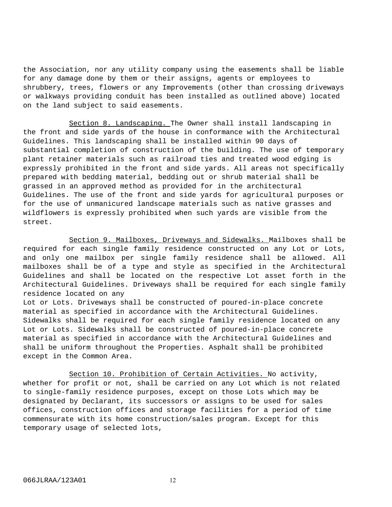the Association, nor any utility company using the easements shall be liable for any damage done by them or their assigns, agents or employees to shrubbery, trees, flowers or any Improvements (other than crossing driveways or walkways providing conduit has been installed as outlined above) located on the land subject to said easements.

Section 8. Landscaping. The Owner shall install landscaping in the front and side yards of the house in conformance with the Architectural Guidelines. This landscaping shall be installed within 90 days of substantial completion of construction of the building. The use of temporary plant retainer materials such as railroad ties and treated wood edging is expressly prohibited in the front and side yards. All areas not specifically prepared with bedding material, bedding out or shrub material shall be grassed in an approved method as provided for in the architectural Guidelines. The use of the front and side yards for agricultural purposes or for the use of unmanicured landscape materials such as native grasses and wildflowers is expressly prohibited when such yards are visible from the street.

Section 9. Mailboxes, Driveways and Sidewalks. Mailboxes shall be required for each single family residence constructed on any Lot or Lots, and only one mailbox per single family residence shall be allowed. All mailboxes shall be of a type and style as specified in the Architectural Guidelines and shall be located on the respective Lot asset forth in the Architectural Guidelines. Driveways shall be required for each single family residence located on any

Lot or Lots. Driveways shall be constructed of poured-in-place concrete material as specified in accordance with the Architectural Guidelines. Sidewalks shall be required for each single family residence located on any Lot or Lots. Sidewalks shall be constructed of poured-in-place concrete material as specified in accordance with the Architectural Guidelines and shall be uniform throughout the Properties. Asphalt shall be prohibited except in the Common Area.

Section 10. Prohibition of Certain Activities. No activity, whether for profit or not, shall be carried on any Lot which is not related to single-family residence purposes, except on those Lots which may be designated by Declarant, its successors or assigns to be used for sales offices, construction offices and storage facilities for a period of time commensurate with its home construction/sales program. Except for this temporary usage of selected lots,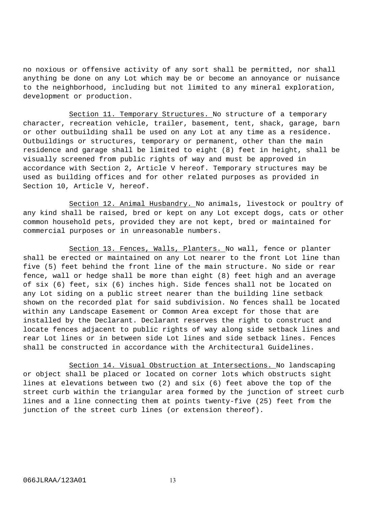no noxious or offensive activity of any sort shall be permitted, nor shall anything be done on any Lot which may be or become an annoyance or nuisance to the neighborhood, including but not limited to any mineral exploration, development or production.

Section 11. Temporary Structures. No structure of a temporary character, recreation vehicle, trailer, basement, tent, shack, garage, barn or other outbuilding shall be used on any Lot at any time as a residence. Outbuildings or structures, temporary or permanent, other than the main residence and garage shall be limited to eight (8) feet in height, shall be visually screened from public rights of way and must be approved in accordance with Section 2, Article V hereof. Temporary structures may be used as building offices and for other related purposes as provided in Section 10, Article V, hereof.

Section 12. Animal Husbandry. No animals, livestock or poultry of any kind shall be raised, bred or kept on any Lot except dogs, cats or other common household pets, provided they are not kept, bred or maintained for commercial purposes or in unreasonable numbers.

Section 13. Fences, Walls, Planters. No wall, fence or planter shall be erected or maintained on any Lot nearer to the front Lot line than five (5) feet behind the front line of the main structure. No side or rear fence, wall or hedge shall be more than eight (8) feet high and an average of six (6) feet, six (6) inches high. Side fences shall not be located on any Lot siding on a public street nearer than the building line setback shown on the recorded plat for said subdivision. No fences shall be located within any Landscape Easement or Common Area except for those that are installed by the Declarant. Declarant reserves the right to construct and locate fences adjacent to public rights of way along side setback lines and rear Lot lines or in between side Lot lines and side setback lines. Fences shall be constructed in accordance with the Architectural Guidelines.

Section 14. Visual Obstruction at Intersections. No landscaping or object shall be placed or located on corner lots which obstructs sight lines at elevations between two (2) and six (6) feet above the top of the street curb within the triangular area formed by the junction of street curb lines and a line connecting them at points twenty-five (25) feet from the junction of the street curb lines (or extension thereof).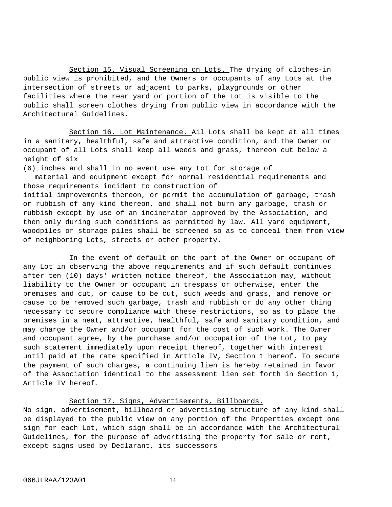Section 15. Visual Screening on Lots. The drying of clothes-in public view is prohibited, and the Owners or occupants of any Lots at the intersection of streets or adjacent to parks, playgrounds or other facilities where the rear yard or portion of the Lot is visible to the public shall screen clothes drying from public view in accordance with the Architectural Guidelines.

Section 16. Lot Maintenance. Ail Lots shall be kept at all times in a sanitary, healthful, safe and attractive condition, and the Owner or occupant of all Lots shall keep all weeds and grass, thereon cut below a height of six

(6) inches and shall in no event use any Lot for storage of material and equipment except for normal residential requirements and those requirements incident to construction of initial improvements thereon, or permit the accumulation of garbage, trash or rubbish of any kind thereon, and shall not burn any garbage, trash or rubbish except by use of an incinerator approved by the Association, and then only during such conditions as permitted by law. All yard equipment, woodpiles or storage piles shall be screened so as to conceal them from view of neighboring Lots, streets or other property.

In the event of default on the part of the Owner or occupant of any Lot in observing the above requirements and if such default continues after ten (10) days' written notice thereof, the Association may, without liability to the Owner or occupant in trespass or otherwise, enter the premises and cut, or cause to be cut, such weeds and grass, and remove or cause to be removed such garbage, trash and rubbish or do any other thing necessary to secure compliance with these restrictions, so as to place the premises in a neat, attractive, healthful, safe and sanitary condition, and may charge the Owner and/or occupant for the cost of such work. The Owner and occupant agree, by the purchase and/or occupation of the Lot, to pay such statement immediately upon receipt thereof, together with interest until paid at the rate specified in Article IV, Section 1 hereof. To secure the payment of such charges, a continuing lien is hereby retained in favor of the Association identical to the assessment lien set forth in Section 1, Article IV hereof.

# Section 17. Signs, Advertisements, Billboards.

No sign, advertisement, billboard or advertising structure of any kind shall be displayed to the public view on any portion of the Properties except one sign for each Lot, which sign shall be in accordance with the Architectural Guidelines, for the purpose of advertising the property for sale or rent, except signs used by Declarant, its successors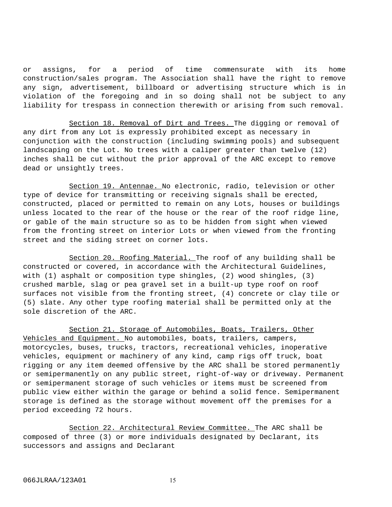or assigns, for a period of time commensurate with its home construction/sales program. The Association shall have the right to remove any sign, advertisement, billboard or advertising structure which is in violation of the foregoing and in so doing shall not be subject to any liability for trespass in connection therewith or arising from such removal.

Section 18. Removal of Dirt and Trees. The digging or removal of any dirt from any Lot is expressly prohibited except as necessary in conjunction with the construction (including swimming pools) and subsequent landscaping on the Lot. No trees with a caliper greater than twelve (12) inches shall be cut without the prior approval of the ARC except to remove dead or unsightly trees.

Section 19. Antennae. No electronic, radio, television or other type of device for transmitting or receiving signals shall be erected, constructed, placed or permitted to remain on any Lots, houses or buildings unless located to the rear of the house or the rear of the roof ridge line, or gable of the main structure so as to be hidden from sight when viewed from the fronting street on interior Lots or when viewed from the fronting street and the siding street on corner lots.

Section 20. Roofing Material. The roof of any building shall be constructed or covered, in accordance with the Architectural Guidelines, with (1) asphalt or composition type shingles, (2) wood shingles, (3) crushed marble, slag or pea gravel set in a built-up type roof on roof surfaces not visible from the fronting street, (4) concrete or clay tile or (5) slate. Any other type roofing material shall be permitted only at the sole discretion of the ARC.

Section 21. Storage of Automobiles, Boats, Trailers, Other Vehicles and Equipment. No automobiles, boats, trailers, campers, motorcycles, buses, trucks, tractors, recreational vehicles, inoperative vehicles, equipment or machinery of any kind, camp rigs off truck, boat rigging or any item deemed offensive by the ARC shall be stored permanently or semipermanently on any public street, right-of-way or driveway. Permanent or semipermanent storage of such vehicles or items must be screened from public view either within the garage or behind a solid fence. Semipermanent storage is defined as the storage without movement off the premises for a period exceeding 72 hours.

Section 22. Architectural Review Committee. The ARC shall be composed of three (3) or more individuals designated by Declarant, its successors and assigns and Declarant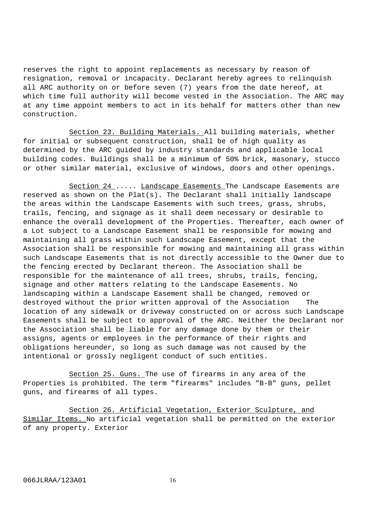reserves the right to appoint replacements as necessary by reason of resignation, removal or incapacity. Declarant hereby agrees to relinquish all ARC authority on or before seven (7) years from the date hereof, at which time full authority will become vested in the Association. The ARC may at any time appoint members to act in its behalf for matters other than new construction.

Section 23. Building Materials. All building materials, whether for initial or subsequent construction, shall be of high quality as determined by the ARC guided by industry standards and applicable local building codes. Buildings shall be a minimum of 50% brick, masonary, stucco or other similar material, exclusive of windows, doors and other openings.

Section 24 ..... Landscape Easements The Landscape Easements are reserved as shown on the  $Plat(s)$ . The Declarant shall initially landscape the areas within the Landscape Easements with such trees, grass, shrubs, trails, fencing, and signage as it shall deem necessary or desirable to enhance the overall development of the Properties. Thereafter, each owner of a Lot subject to a Landscape Easement shall be responsible for mowing and maintaining all grass within such Landscape Easement, except that the Association shall be responsible for mowing and maintaining all grass within such Landscape Easements that is not directly accessible to the Owner due to the fencing erected by Declarant thereon. The Association shall be responsible for the maintenance of all trees, shrubs, trails, fencing, signage and other matters relating to the Landscape Easements. No landscaping within a Landscape Easement shall be changed, removed or destroyed without the prior written approval of the Association The location of any sidewalk or driveway constructed on or across such Landscape Easements shall be subject to approval of the ARC. Neither the Declarant nor the Association shall be liable for any damage done by them or their assigns, agents or employees in the performance of their rights and obligations hereunder, so long as such damage was not caused by the intentional or grossly negligent conduct of such entities.

Section 25. Guns. The use of firearms in any area of the Properties is prohibited. The term "firearms" includes "B-B" guns, pellet guns, and firearms of all types.

Section 26. Artificial Vegetation, Exterior Sculpture, and Similar Items. No artificial vegetation shall be permitted on the exterior of any property. Exterior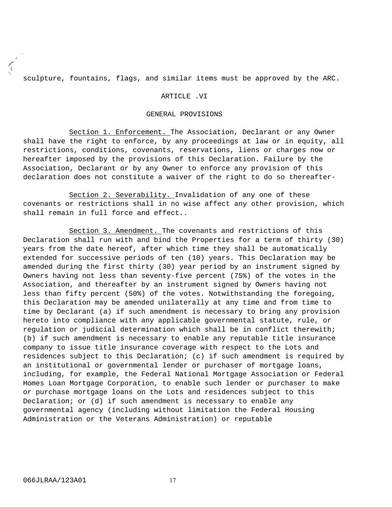sculpture, fountains, flags, and similar items must be approved by the ARC.

# ARTICLE .VI

#### GENERAL PROVISIONS

Section 1. Enforcement. The Association, Declarant or any Owner shall have the right to enforce, by any proceedings at law or in equity, all restrictions, conditions, covenants, reservations, liens or charges now or hereafter imposed by the provisions of this Declaration. Failure by the Association, Declarant or by any Owner to enforce any provision of this declaration does not constitute a waiver of the right to do so thereafter-

Section 2. Severability. Invalidation of any one of these covenants or restrictions shall in no wise affect any other provision, which shall remain in full force and effect..

Section 3. Amendment. The covenants and restrictions of this Declaration shall run with and bind the Properties for a term of thirty (30) years from the date hereof, after which time they shall be automatically extended for successive periods of ten (10) years. This Declaration may be amended during the first thirty (30) year period by an instrument signed by Owners having not less than seventy-five percent (75%) of the votes in the Association, and thereafter by an instrument signed by Owners having not less than fifty percent (50%) of the votes. Notwithstanding the foregoing, this Declaration may be amended unilaterally at any time and from time to time by Declarant (a) if such amendment is necessary to bring any provision hereto into compliance with any applicable governmental statute, rule, or regulation or judicial determination which shall be in conflict therewith; (b) if such amendment is necessary to enable any reputable title insurance company to issue title insurance coverage with respect to the Lots and residences subject to this Declaration; (c) if such amendment is required by an institutional or governmental lender or purchaser of mortgage loans, including, for example, the Federal National Mortgage Association or Federal Homes Loan Mortgage Corporation, to enable such lender or purchaser to make or purchase mortgage loans on the Lots and residences subject to this Declaration; or (d) if such amendment is necessary to enable any governmental agency (including without limitation the Federal Housing Administration or the Veterans Administration) or reputable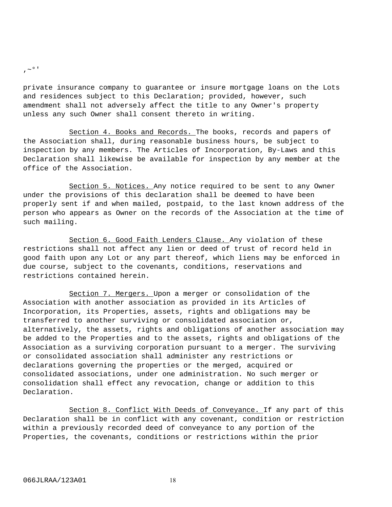$, \sim$ <sup>0</sup>'

private insurance company to guarantee or insure mortgage loans on the Lots and residences subject to this Declaration; provided, however, such amendment shall not adversely affect the title to any Owner's property unless any such Owner shall consent thereto in writing.

Section 4. Books and Records. The books, records and papers of the Association shall, during reasonable business hours, be subject to inspection by any members. The Articles of Incorporation, By-Laws and this Declaration shall likewise be available for inspection by any member at the office of the Association.

Section 5. Notices. Any notice required to be sent to any Owner under the provisions of this declaration shall be deemed to have been properly sent if and when mailed, postpaid, to the last known address of the person who appears as Owner on the records of the Association at the time of such mailing.

Section 6. Good Faith Lenders Clause. Any violation of these restrictions shall not affect any lien or deed of trust of record held in good faith upon any Lot or any part thereof, which liens may be enforced in due course, subject to the covenants, conditions, reservations and restrictions contained herein.

Section 7. Mergers. Upon a merger or consolidation of the Association with another association as provided in its Articles of Incorporation, its Properties, assets, rights and obligations may be transferred to another surviving or consolidated association or, alternatively, the assets, rights and obligations of another association may be added to the Properties and to the assets, rights and obligations of the Association as a surviving corporation pursuant to a merger. The surviving or consolidated association shall administer any restrictions or declarations governing the properties or the merged, acquired or consolidated associations, under one administration. No such merger or consolidation shall effect any revocation, change or addition to this Declaration.

Section 8. Conflict With Deeds of Conveyance. If any part of this Declaration shall be in conflict with any covenant, condition or restriction within a previously recorded deed of conveyance to any portion of the Properties, the covenants, conditions or restrictions within the prior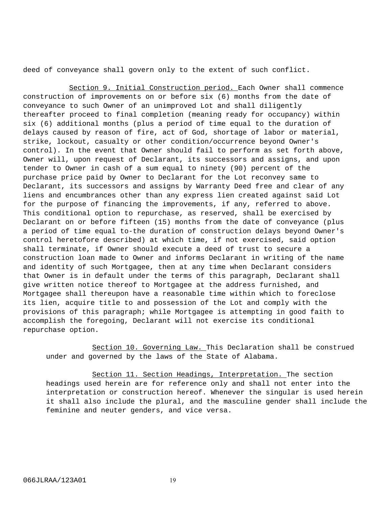deed of conveyance shall govern only to the extent of such conflict.

Section 9. Initial Construction period. Each Owner shall commence construction of improvements on or before six (6) months from the date of conveyance to such Owner of an unimproved Lot and shall diligently thereafter proceed to final completion (meaning ready for occupancy) within six (6) additional months (plus a period of time equal to the duration of delays caused by reason of fire, act of God, shortage of labor or material, strike, lockout, casualty or other condition/occurrence beyond Owner's control). In the event that Owner should fail to perform as set forth above, Owner will, upon request of Declarant, its successors and assigns, and upon tender to Owner in cash of a sum equal to ninety (90) percent of the purchase price paid by Owner to Declarant for the Lot reconvey same to Declarant, its successors and assigns by Warranty Deed free and clear of any liens and encumbrances other than any express lien created against said Lot for the purpose of financing the improvements, if any, referred to above. This conditional option to repurchase, as reserved, shall be exercised by Declarant on or before fifteen (15) months from the date of conveyance (plus a period of time equal to-the duration of construction delays beyond Owner's control heretofore described) at which time, if not exercised, said option shall terminate, if Owner should execute a deed of trust to secure a construction loan made to Owner and informs Declarant in writing of the name and identity of such Mortgagee, then at any time when Declarant considers that Owner is in default under the terms of this paragraph, Declarant shall give written notice thereof to Mortgagee at the address furnished, and Mortgagee shall thereupon have a reasonable time within which to foreclose its lien, acquire title to and possession of the Lot and comply with the provisions of this paragraph; while Mortgagee is attempting in good faith to accomplish the foregoing, Declarant will not exercise its conditional repurchase option.

Section 10. Governing Law. This Declaration shall be construed under and governed by the laws of the State of Alabama.

Section 11. Section Headings, Interpretation. The section headings used herein are for reference only and shall not enter into the interpretation or construction hereof. Whenever the singular is used herein it shall also include the plural, and the masculine gender shall include the feminine and neuter genders, and vice versa.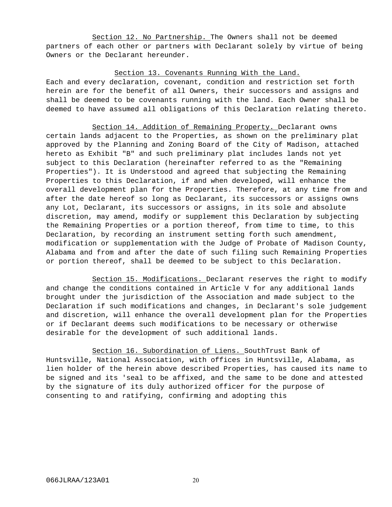Section 12. No Partnership. The Owners shall not be deemed partners of each other or partners with Declarant solely by virtue of being Owners or the Declarant hereunder.

# Section 13. Covenants Running With the Land.

Each and every declaration, covenant, condition and restriction set forth herein are for the benefit of all Owners, their successors and assigns and shall be deemed to be covenants running with the land. Each Owner shall be deemed to have assumed all obligations of this Declaration relating thereto.

Section 14. Addition of Remaining Property. Declarant owns certain lands adjacent to the Properties, as shown on the preliminary plat approved by the Planning and Zoning Board of the City of Madison, attached hereto as Exhibit "B" and such preliminary plat includes lands not yet subject to this Declaration (hereinafter referred to as the "Remaining Properties"). It is Understood and agreed that subjecting the Remaining Properties to this Declaration, if and when developed, will enhance the overall development plan for the Properties. Therefore, at any time from and after the date hereof so long as Declarant, its successors or assigns owns any Lot, Declarant, its successors or assigns, in its sole and absolute discretion, may amend, modify or supplement this Declaration by subjecting the Remaining Properties or a portion thereof, from time to time, to this Declaration, by recording an instrument setting forth such amendment, modification or supplementation with the Judge of Probate of Madison County, Alabama and from and after the date of such filing such Remaining Properties or portion thereof, shall be deemed to be subject to this Declaration.

Section 15. Modifications. Declarant reserves the right to modify and change the conditions contained in Article V for any additional lands brought under the jurisdiction of the Association and made subject to the Declaration if such modifications and changes, in Declarant's sole judgement and discretion, will enhance the overall development plan for the Properties or if Declarant deems such modifications to be necessary or otherwise desirable for the development of such additional lands.

Section 16. Subordination of Liens. SouthTrust Bank of Huntsville, National Association, with offices in Huntsville, Alabama, as lien holder of the herein above described Properties, has caused its name to be signed and its 'seal to be affixed, and the same to be done and attested by the signature of its duly authorized officer for the purpose of consenting to and ratifying, confirming and adopting this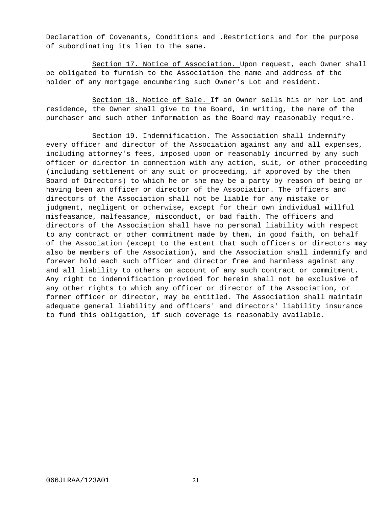Declaration of Covenants, Conditions and .Restrictions and for the purpose of subordinating its lien to the same.

Section 17. Notice of Association. Upon request, each Owner shall be obligated to furnish to the Association the name and address of the holder of any mortgage encumbering such Owner's Lot and resident.

Section 18. Notice of Sale. If an Owner sells his or her Lot and residence, the Owner shall give to the Board, in writing, the name of the purchaser and such other information as the Board may reasonably require.

Section 19. Indemnification. The Association shall indemnify every officer and director of the Association against any and all expenses, including attorney's fees, imposed upon or reasonably incurred by any such officer or director in connection with any action, suit, or other proceeding (including settlement of any suit or proceeding, if approved by the then Board of Directors) to which he or she may be a party by reason of being or having been an officer or director of the Association. The officers and directors of the Association shall not be liable for any mistake or judgment, negligent or otherwise, except for their own individual willful misfeasance, malfeasance, misconduct, or bad faith. The officers and directors of the Association shall have no personal liability with respect to any contract or other commitment made by them, in good faith, on behalf of the Association (except to the extent that such officers or directors may also be members of the Association), and the Association shall indemnify and forever hold each such officer and director free and harmless against any and all liability to others on account of any such contract or commitment. Any right to indemnification provided for herein shall not be exclusive of any other rights to which any officer or director of the Association, or former officer or director, may be entitled. The Association shall maintain adequate general liability and officers' and directors' liability insurance to fund this obligation, if such coverage is reasonably available.

21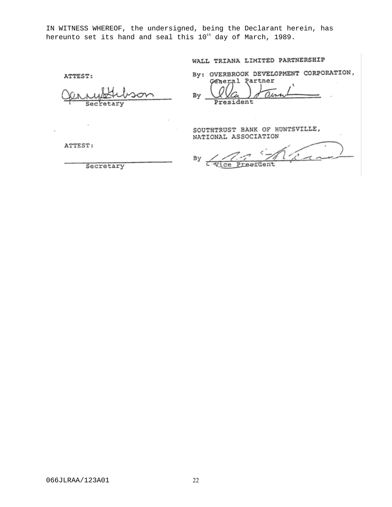IN WITNESS WHEREOF, the undersigned, being the Declarant herein, has hereunto set its hand and seal this 10<sup>th</sup> day of March, 1989.

# WALL TRIANA LIMITED PARTNERSHIP

ATTEST:

etary

By: OVERBROOK DEVELOPMENT CORPORATION, Partner General

By President

SOUTHTRUST BANK OF HUNTSVILLE, NATIONAL ASSOCIATION

By Wice Preef ent.

ATTEST:

 $\bar{z}$ 

Secretary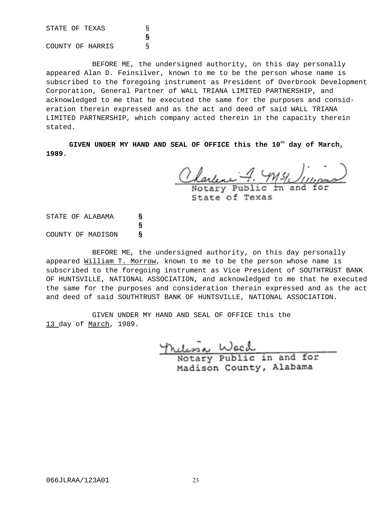STATE OF TEXAS S **§** COUNTY OF HARRIS §

BEFORE ME, the undersigned authority, on this day personally appeared Alan D. Feinsilver, known to me to be the person whose name is subscribed to the foregoing instrument as President of Overbrook Development Corporation, General Partner of WALL TRIANA LIMITED PARTNERSHIP, and acknowledged to me that he executed the same for the purposes and consideration therein expressed and as the act and deed of said WALL TRIANA LIMITED PARTNERSHIP, which company acted therein in the capacity therein stated.

GIVEN UNDER MY HAND AND SEAL OF OFFICE this the 10<sup>th</sup> day of March, **1989.**

Clarence 7. My Jugar<br>Notary Public In and for

State of Texas

STATE OF ALABAMA **§ §** COUNTY OF MADISON **§**

BEFORE ME, the undersigned authority, on this day personally appeared William T. Morrow, known to me to be the person whose name is subscribed to the foregoing instrument as Vice President of SOUTHTRUST BANK OF HUNTSVILLE, NATIONAL ASSOCIATION, and acknowledged to me that he executed the same for the purposes and consideration therein expressed and as the act and deed of said SOUTHTRUST BANK OF HUNTSVILLE, NATIONAL ASSOCIATION.

GIVEN UNDER MY HAND AND SEAL OF OFFICE this the 13 day of March, 1989.

> nulissa Wach Madison County, Alabama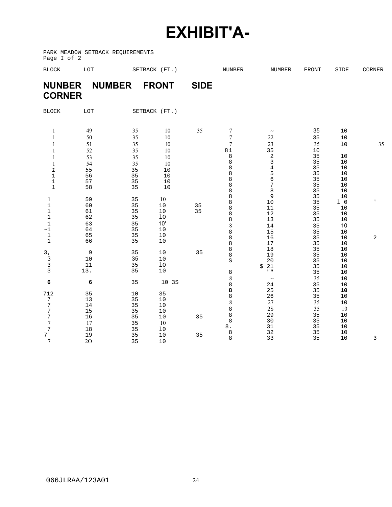# **EXHIBIT'A-**

PARK MEADOW SETBACK REQUIREMENTS Page I of 2

| <b>BLOCK</b>                               | LOT            |                | SETBACK (FT.)    |             | NUNBER                   | <b>NUMBER</b>                         | <b>FRONT</b>   | SIDE                           | CORNER         |
|--------------------------------------------|----------------|----------------|------------------|-------------|--------------------------|---------------------------------------|----------------|--------------------------------|----------------|
| <b>NUNBER</b><br><b>CORNER</b>             |                | <b>NUMBER</b>  | <b>FRONT</b>     | <b>SIDE</b> |                          |                                       |                |                                |                |
| <b>BLOCK</b>                               | LOT            |                | SETBACK (FT.)    |             |                          |                                       |                |                                |                |
| 1<br>1                                     | 49<br>50       | 35<br>35       | 10<br>$10\,$     | 35          | 7<br>7                   | $\sim$<br>22                          | 35<br>35       | 10<br>$10$                     |                |
| 1<br>1                                     | 51<br>52       | 35<br>35       | 10<br>10         |             | $\overline{7}$<br>$8\,1$ | 23<br>35<br>$\sqrt{2}$                | 35<br>10<br>35 | $10$<br>10                     | 35             |
| 1<br>1<br>1                                | 53<br>54<br>55 | 35<br>35<br>35 | 10<br>10<br>10   |             | 8<br>8<br>$\,8\,$<br>8   | 3<br>$\overline{4}$<br>5              | 35<br>35<br>35 | 10<br>10<br>$10$               |                |
| $\mathbf 1$<br>$\mathbf 1$<br>$\mathbf{1}$ | 56<br>57<br>58 | 35<br>35<br>35 | 10<br>$10$<br>10 |             | 8<br>8<br>8              | 6<br>$\sqrt{ }$<br>8                  | 35<br>35<br>35 | 10<br>$10$<br>10               |                |
| 1<br>$1\,$                                 | 59<br>60       | 35<br>35       | 10<br>10         | 35          | 8<br>8<br>8              | 9<br>10<br>11                         | 35<br>35<br>35 | $10$<br>1 <sub>0</sub><br>$10$ |                |
| $1\,$<br>$\mathbf{1}$<br>$\mathbf{1}$      | 61<br>62<br>63 | 35<br>35<br>35 | 10<br>10<br>10'  | 35          | 8<br>8<br>$\,$ $\,$      | 12<br>13<br>14                        | 35<br>35<br>35 | 10<br>10<br>10                 |                |
| $\sim\!1$<br>$1\,$<br>$\mathbf{1}$         | 64<br>65<br>66 | 35<br>35<br>35 | 10<br>$10$<br>10 |             | 8<br>8<br>8              | 15<br>16<br>17                        | 35<br>35<br>35 | 10<br>10<br>10                 | $\overline{2}$ |
| 3,<br>$\ensuremath{\mathsf{3}}$            | 9<br>$10$      | 35<br>35       | 10<br>10         | 35          | 8<br>8<br>S              | $18$<br>19<br>20                      | 35<br>35<br>35 | $10$<br>10<br>10               |                |
| 3<br>3                                     | $11\,$<br>13.  | 35<br>35       | $10$<br>10       |             | 8<br>$\,$ 8 $\,$         | 21<br>\$<br>$\mathbf{u}$ $\mathbf{u}$ | 35<br>35<br>35 | 10<br>10                       |                |
| 6<br>712                                   | 6<br>35        | 35<br>10       | 10 3S<br>35      |             | 8<br>8                   | $\sim$<br>24<br>25                    | 35<br>35       | 10<br>10<br>10                 |                |
| 7<br>7<br>7                                | 13<br>14<br>15 | 35<br>35<br>35 | 10<br>10<br>$10$ |             | 8<br>8<br>8              | 26<br>27<br>2S                        | 35<br>35<br>35 | 10<br>10<br>10                 |                |
| 7<br>7<br>7                                | 16<br>17       | 35<br>35       | $10\,$<br>10     | 35          | 8<br>8<br>$\bf 8$ .      | 29<br>30<br>31                        | 35<br>35<br>35 | $10\,$<br>10<br>$10\,$         |                |
| 7 <sup>1</sup><br>7                        | 18<br>19<br>2O | 35<br>35<br>35 | 10<br>$10$<br>10 | 35          | 8<br>8                   | 32<br>33                              | 35<br>35       | $10$<br>10                     | 3              |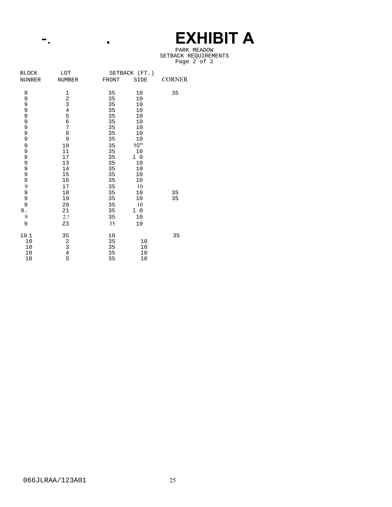# -. . . . . . . . . **E EXHIBIT A**

#### PARK MEADOW SETBACK REQUIREMENTS Page 2 of 2

| <b>BLOCK</b>  | LOT                                        | SETBACK (FT.) |                |               |
|---------------|--------------------------------------------|---------------|----------------|---------------|
| <b>NUNBER</b> | <b>NUMBER</b>                              | <b>FRONT</b>  | SIDE           | <b>CORNER</b> |
| 9             | $\mathbf{1}$                               | 35            | 10             | 35            |
|               |                                            | 35            | 10             |               |
| 9<br>9        | $\frac{2}{3}$                              | 35            | 10             |               |
|               |                                            | 35            | 10             |               |
|               | $\begin{array}{c} 4 \\ 5 \\ 6 \end{array}$ | 35            | 10             |               |
|               |                                            | 35            | 10             |               |
| 999999        | $\overline{7}$                             | 35            | 10             |               |
|               | 8                                          | 35            | 10             |               |
|               | 9                                          | 35            | $10$           |               |
| 9             | $10$                                       | 35            | 10"            |               |
|               | 11                                         | 35            | 10             |               |
| 9999          | 17                                         | 35            | 1 <sub>0</sub> |               |
|               | 13                                         | 35            | 10             |               |
|               | 14                                         | 35            | 10             |               |
| 9<br>9        | 15                                         | 35            | 10             |               |
|               | 16                                         | 35            | 10             |               |
| 9             | 17                                         | 35            | 10             |               |
| 9<br>9        | 18                                         | 35            | 10             | 35            |
|               | 19                                         | 35            | 10             | 35            |
| 9             | 20                                         | 35            | 10             |               |
| 9.            | 21                                         | 35            | 1 <sub>0</sub> |               |
| 9             | 2.!                                        | 35            | 10             |               |
| 9             | Z3                                         | 35            | 10             |               |
| 10 1          | 35                                         | 10            |                | 35            |
| 10            |                                            | 35            | 10             |               |
| 10            | $\begin{array}{c} 2 \\ 3 \\ 4 \end{array}$ | 35            | 10             |               |
| 10            |                                            | 35            | 10             |               |
| 10            | S                                          | 35            | 10             |               |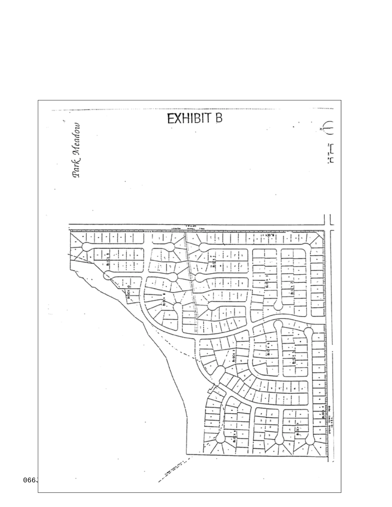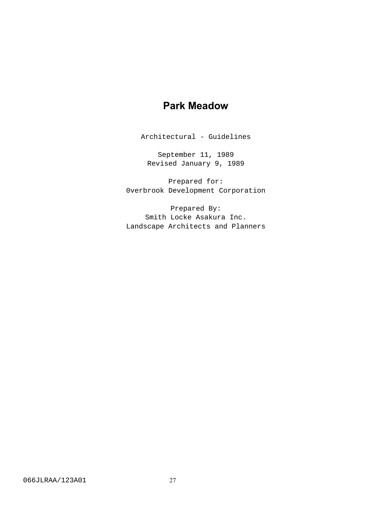# **Park Meadow**

Architectural - Guidelines

September 11, 1989 Revised January 9, 1989

Prepared for: 0verbrook Development Corporation

Prepared By: Smith Locke Asakura Inc. Landscape Architects and Planners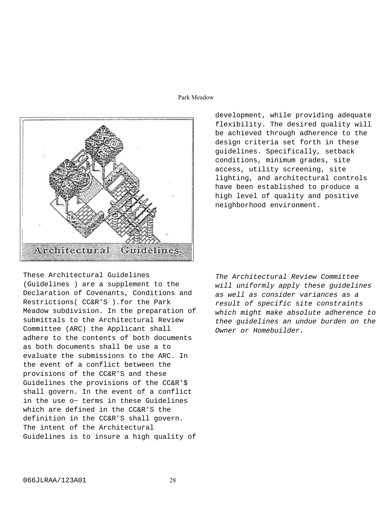# Park Meadow



development, while providing adequate flexibility. The desired quality will be achieved through adherence to the design criteria set forth in these guidelines. Specifically, setback conditions, minimum grades, site access, utility screening, site lighting, and architectural controls have been established to produce a high level of quality and positive neighborhood environment.

These Architectural Guidelines (Guidelines ) are a supplement to the Declaration of Covenants, Conditions and Restrictions( CC&R'S ).for the Park Meadow subdivision. In the preparation of submittals to the Architectural Review Committee (ARC) the Applicant shall adhere to the contents of both documents as both documents shall be use a to evaluate the submissions to the ARC. In the event of a conflict between the provisions of the CC&R'S and these Guidelines the provisions of the CC&R'\$ shall govern. In the event of a conflict in the use o~ terms in these Guidelines which are defined in the CC&R'S the definition in the CC&R'S shall govern. The intent of the Architectural Guidelines is to insure a high quality of

The Architectural Review Committee will uniformly apply these guidelines as well as consider variances as a result of specific site constraints which might make absolute adherence to thee guidelines an undue burden on the Owner or Homebuilder.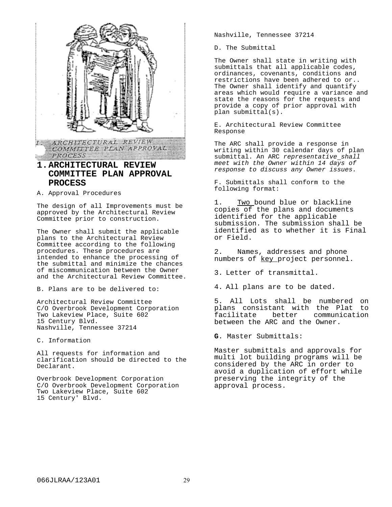

# **1.ARCHITECTURAL REVIEW COMMITTEE PLAN APPROVAL PROCESS**

A. Approval Procedures

The design of all Improvements must be approved by the Architectural Review Committee prior to construction.

The Owner shall submit the applicable plans to the Architectural Review Committee according to the following procedures. These procedures are intended to enhance the processing of the submittal and minimize the chances of miscommunication between the Owner and the Architectural Review Committee.

B. Plans are to be delivered to:

Architectural Review Committee C/O Overbrook Development Corporation Two Lakeview Place, Suite 602 15 Century Blvd. Nashville, Tennessee 37214

C. Information

All requests for information and clarification should be directed to the Declarant.

Overbrook Development Corporation C/O Overbrook Development Corporation Two Lakeview Place, Suite 602 15 Century' Blvd.

Nashville, Tennessee 37214

D. The Submittal

The Owner shall state in writing with submittals that all applicable codes, ordinances, covenants, conditions and restrictions have been adhered to or.. The Owner shall identify and quantify areas which would require a variance and state the reasons for the requests and provide a copy of prior approval with plan submittal(s).

E. Architectural Review Committee Response

The ARC shall provide a response in writing within 30 calendar days of plan submittal. An ARC representative shall meet with the Owner within 14 days of response to discuss any Owner issues.

F. Submittals shall conform to the following format:

1. Two bound blue or blackline copies of the plans and documents identified for the applicable submission. The submission shall be identified as to whether it is Final or Field.

2. Names, addresses and phone numbers of key project personnel.

3. Letter of transmittal.

4. All plans are to be dated.

5. All Lots shall be numbered on plans consistant with the Plat to better communication between the ARC and the Owner.

**G**. Master Submittals:

Master submittals and approvals for multi lot building programs will be considered by the ARC in order to avoid a duplication of effort while preserving the integrity of the approval process.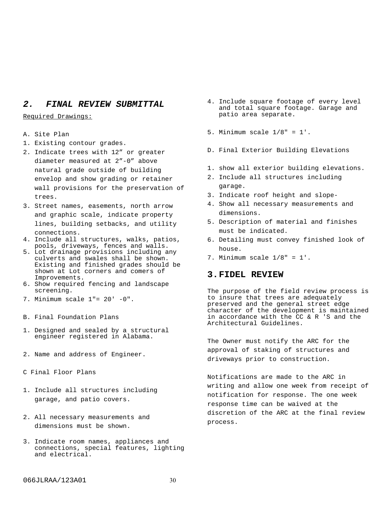# **2. FINAL REVIEW SUBMITTAL**

Required Drawings:

- A. Site Plan
- 1. Existing contour grades.
- 2. Indicate trees with 12" or greater diameter measured at 2"-0" above natural grade outside of building envelop and show grading or retainer wall provisions for the preservation of trees.
- 3. Street names, easements, north arrow and graphic scale, indicate property lines, building setbacks, and utility connections.
- 4. Include all structures, walks, patios, pools, driveways, fences and walls.
- 5. Lot drainage provisions including any culverts and swales shall be shown. Existing and finished grades should be shown at Lot corners and comers of Improvements.
- 6. Show required fencing and landscape screening.
- 7. Minimum scale 1"= 20' -0".
- B. Final Foundation Plans
- 1. Designed and sealed by a structural engineer registered in Alabama.
- 2. Name and address of Engineer.
- C Final Floor Plans
- 1. Include all structures including garage, and patio covers.
- 2. All necessary measurements and dimensions must be shown.
- 3. Indicate room names, appliances and connections, special features, lighting and electrical.
- 4. Include square footage of every level and total square footage. Garage and patio area separate.
- 5. Minimum scale 1/8" = 1'.
- D. Final Exterior Building Elevations
- 1. show all exterior building elevations.
- 2. Include all structures including garage.
- 3. Indicate roof height and slope-
- 4. Show all necessary measurements and dimensions.
- 5. Description of material and finishes must be indicated.
- 6. Detailing must convey finished look of house.
- 7. Minimum scale  $1/8" = 1'.$

# **3.FIDEL REVIEW**

The purpose of the field review process is to insure that trees are adequately preserved and the general street edge character of the development is maintained in accordance with the CC & R 'S and the Architectural Guidelines.

The Owner must notify the ARC for the approval of staking of structures and driveways prior to construction.

Notifications are made to the ARC in writing and allow one week from receipt of notification for response. The one week response time can be waived at the discretion of the ARC at the final review process.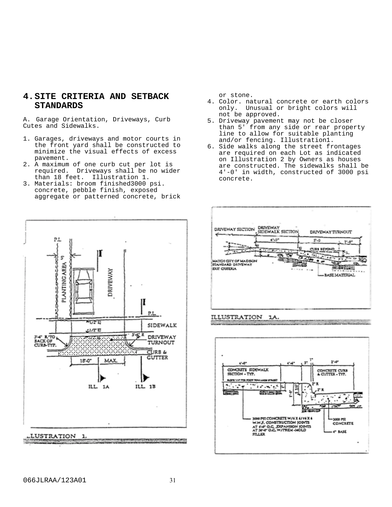# **4.SITE CRITERIA AND SETBACK STANDARDS**

A. Garage Orientation, Driveways, Curb Cutes and Sidewalks.

- 1. Garages, driveways and motor courts in the front yard shall be constructed to minimize the visual effects of excess pavement.
- 2. A maximum of one curb cut per lot is required. Driveways shall be no wider than 18 feet. Illustration 1.
- 3. Materials: broom finished3000 psi. concrete, pebble finish, exposed aggregate or patterned concrete, brick

or stone.

- 4. Color. natural concrete or earth colors only. Unusual or bright colors will not be approved.
- 5. Driveway pavement may not be closer than 5' from any side or rear property line to allow for suitable planting and/or fencing. Illustration1.
- 6. Side walks along the street frontages are required on each Lot as indicated on Illustration 2 by Owners as houses are constructed. The sidewalks shall be 4'-0' in width, constructed of 3000 psi concrete.





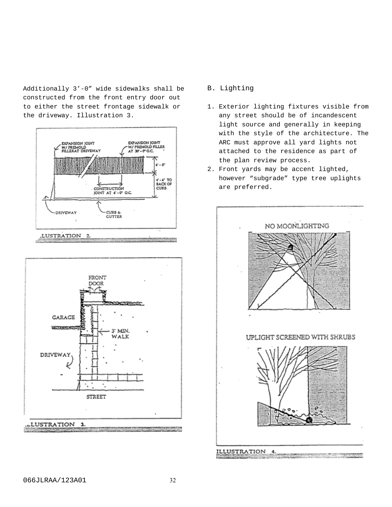Additionally 3'-0" wide sidewalks shall be constructed from the front entry door out to either the street frontage sidewalk or the driveway. Illustration 3.





# B. Lighting

- 1. Exterior lighting fixtures visible from any street should be of incandescent light source and generally in keeping with the style of the architecture. The ARC must approve all yard lights not attached to the residence as part of the plan review process.
- 2. Front yards may be accent lighted, however "subgrade" type tree uplights are preferred.

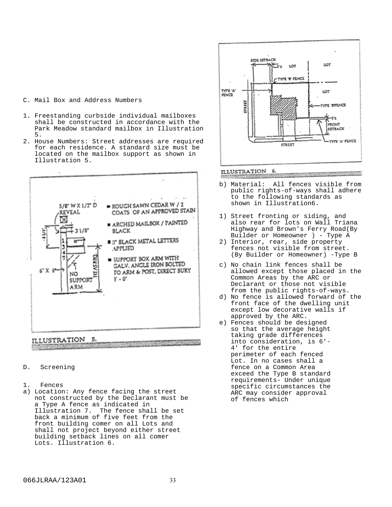# C. Mail Box and Address Numbers

- 1. Freestanding curbside individual mailboxes shall be constructed in accordance with the Park Meadow standard mailbox in Illustration 5.
- 2. House Numbers: Street addresses are required for each residence. A standard size must be located on the mailbox support as shown in Illustration 5.



#### D. Screening

- 1. Fences
- a) Location: Any fence facing the street not constructed by the Declarant must be a Type A fence as indicated in Illustration 7. The fence shall be set back a minimum of five feet from the front building comer on all Lots and shall not project beyond either street building setback lines on all comer Lots. Illustration 6.



# ILLUSTRATION 6.

- b) Material: All fences visible from public rights-of-ways shall adhere to the following standards as shown in Illustration6.
- 1) Street fronting or siding, and also rear for lots on Wall Triana Highway and Brown's Ferry Road(By Builder or Homeowner ) - Type A
- 2) Interior, rear, side property fences not visible from street. (By Builder or Homeowner) -Type B
- c) No chain link fences shall be allowed except those placed in the Common Areas by the ARC or Declarant or those not visible from the public rights-of-ways.
- d) No fence is allowed forward of the front face of the dwelling unit except low decorative walls if approved by the ARC.
- e) Fences should be designed so that the average height taking grade differences into consideration, is 6'- 4' for the entire perimeter of each fenced Lot. In no cases shall a fence on a Common Area exceed the Type B standard requirements- Under unique specific circumstances the ARC may consider approval of fences which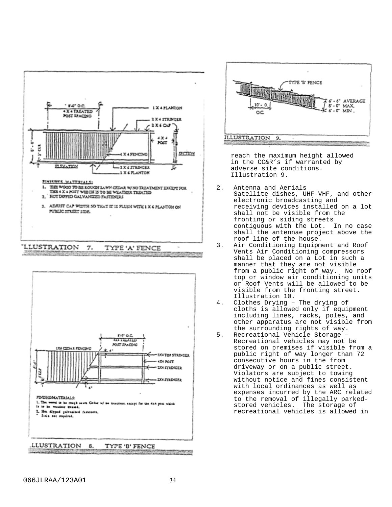

LLUSTRATION 8. TYPE 'B' FENCE ALL NO. A LEFTER FOUR AS WELL AS **A CONTRACTOR CONTRACTOR** 



reach the maximum height allowed in the CC&R's if warranted by adverse site conditions. Illustration 9.

- 2. Antenna and Aerials Satellite dishes, UHF-VHF, and other electronic broadcasting and receiving devices installed on a lot shall not be visible from the fronting or siding streets contiguous with the Lot. In no case shall the antennae project above the roof line of the house.
- 3. Air Conditioning Equipment and Roof Vents Air Conditioning compressors shall be placed on a Lot in such a manner that they are not visible from a public right of way. No roof top or window air conditioning units or Roof Vents will be allowed to be visible from the fronting street. Illustration 10.
- 4. Clothes Drying The drying of cloths is allowed only if equipment including lines, racks, poles, and other apparatus are not visible from the surrounding rights of way.
- 5. Recreational Vehicle Storage Recreational vehicles may not be stored on premises if visible from a public right of way longer than 72 consecutive hours in the from driveway or on a public street. Violators are subject to towing without notice and fines consistent with local ordinances as well as expenses incurred by the ARC related to the removal of illegally parked-<br>stored vehicles. The storage of stored vehicles. recreational vehicles is allowed in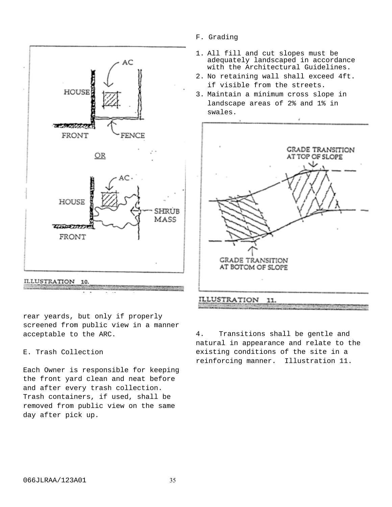

rear yeards, but only if properly screened from public view in a manner acceptable to the ARC.

# E. Trash Collection

Each Owner is responsible for keeping the front yard clean and neat before and after every trash collection. Trash containers, if used, shall be removed from public view on the same day after pick up.

- F. Grading
- 1. All fill and cut slopes must be adequately landscaped in accordance with the Architectural Guidelines.
- 2. No retaining wall shall exceed 4ft. if visible from the streets.
- 3. Maintain a minimum cross slope in landscape areas of 2% and 1% in swales.



4. Transitions shall be gentle and natural in appearance and relate to the existing conditions of the site in a reinforcing manner. Illustration 11.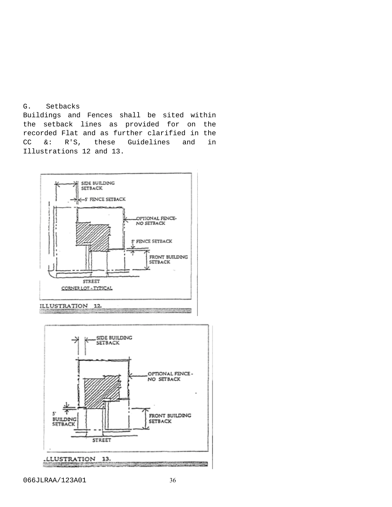# G. Setbacks

Buildings and Fences shall be sited within the setback lines as provided for on the recorded Flat and as further clarified in the CC &: R'S, these Guidelines and in Illustrations 12 and 13.



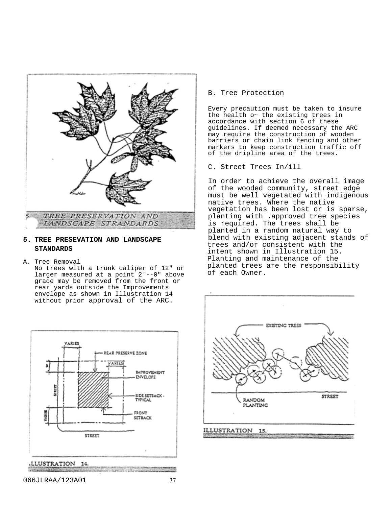

# **5. TREE PRESEVATION AND LANDSCAPE STANDARDS**

A. Tree Removal

No trees with a trunk caliper of 12" or larger measured at a point 2'--0" above grade may be removed from the front or rear yards outside the Improvements envelope as shown in Illustration 14 without prior approval of the ARC.



.LLUSTRATION 14.

B. Tree Protection

Every precaution must be taken to insure the health o~ the existing trees in accordance with section 6 of these guidelines. If deemed necessary the ARC may require the construction of wooden barriers or chain link fencing and other markers to keep construction traffic off of the dripline area of the trees.

C. Street Trees In/ill

In order to achieve the overall image of the wooded community, street edge must be well vegetated with indigenous native trees. Where the native vegetation has been lost or is sparse, planting with .approved tree species is required. The trees shall be planted in a random natural way to blend with existing adjacent stands of trees and/or consistent with the intent shown in Illustration 15. Planting and maintenance of the planted trees are the responsibility of each Owner.

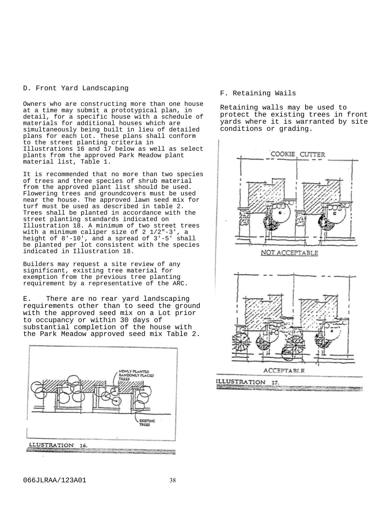# D. Front Yard Landscaping

Owners who are constructing more than one house at a time may submit a prototypical plan, in detail, for a specific house with a schedule of materials for additional houses which are simultaneously being built in lieu of detailed plans for each Lot. These plans shall conform to the street planting criteria in Illustrations 16 and 17 below as well as select plants from the approved Park Meadow plant material list, Table 1.

It is recommended that no more than two species of trees and three species of shrub material from the approved plant list should be used. Flowering trees and groundcovers must be used near the house. The approved lawn seed mix for turf must be used as described in table 2. Trees shall be planted in accordance with the street planting standards indicated on Illustration 18. A minimum of two street trees with a minimum caliper size of 2 1/2"-3', a height of 8'-10', and a spread of 3'-5' shall be planted per lot consistent with the species indicated in Illustration 18.

Builders may request a site review of any significant, existing tree material for exemption from the previous tree planting requirement by a representative of the ARC.

E. There are no rear yard landscaping requirements other than to seed the ground with the approved seed mix on a Lot prior to occupancy or within 30 days of substantial completion of the house with the Park Meadow approved seed mix Table 2.



# F. Retaining Wails

Retaining walls may be used to protect the existing trees in front yards where it is warranted by site conditions or grading.

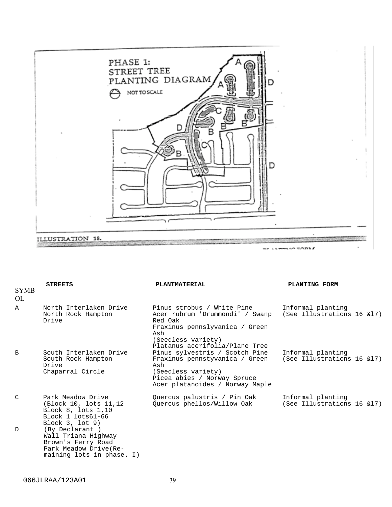

| <b>SYMB</b><br>OL | <b>STREETS</b>                                                                                                     | PLANTMATERIAL                                                                                                                                                             | PLANTING FORM                                   |
|-------------------|--------------------------------------------------------------------------------------------------------------------|---------------------------------------------------------------------------------------------------------------------------------------------------------------------------|-------------------------------------------------|
| $\mathbb{A}$      | North Interlaken Drive<br>North Rock Hampton<br>Drive                                                              | Pinus strobus / White Pine<br>Acer rubrum 'Drummondi' / Swanp<br>Red Oak<br>Fraxinus pennslyvanica / Green<br>Ash<br>(Seedless variety)<br>Platanus acerifolia/Plane Tree | Informal planting<br>(See Illustrations 16 &17) |
| B                 | South Interlaken Drive<br>South Rock Hampton<br>Drive<br>Chaparral Circle                                          | Pinus sylvestris / Scotch Pine<br>Fraxinus pennstyvanica / Green<br>Ash<br>(Seedless variety)<br>Picea abies / Norway Spruce<br>Acer platanoides / Norway Maple           | Informal planting<br>(See Illustrations 16 &17) |
| $\mathcal{C}$     | Park Meadow Drive<br>(Block 10, lots 11,12)<br>Block 8, lots 1,10<br>Block 1 lots61-66<br>Block $3,$ lot $9)$      | Quercus palustris / Pin Oak<br>Quercus phellos/Willow Oak                                                                                                                 | Informal planting<br>(See Illustrations 16 &17) |
| $\mathcal{D}$     | (By Declarant)<br>Wall Triana Highway<br>Brown's Ferry Road<br>Park Meadow Drive (Re-<br>maining lots in phase. I) |                                                                                                                                                                           |                                                 |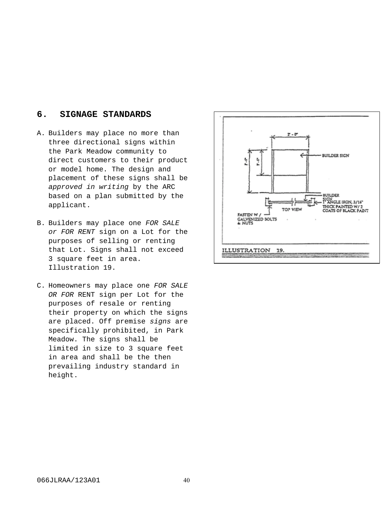# **6. SIGNAGE STANDARDS**

- A. Builders may place no more than three directional signs within the Park Meadow community to direct customers to their product or model home. The design and placement of these signs shall be approved in writing by the ARC based on a plan submitted by the applicant.
- B. Builders may place one FOR SALE or FOR RENT sign on a Lot for the purposes of selling or renting that Lot. Signs shall not exceed 3 square feet in area. Illustration 19.
- C. Homeowners may place one FOR SALE OR FOR RENT sign per Lot for the purposes of resale or renting their property on which the signs are placed. Off premise signs are specifically prohibited, in Park Meadow. The signs shall be limited in size to 3 square feet in area and shall be the then prevailing industry standard in height.

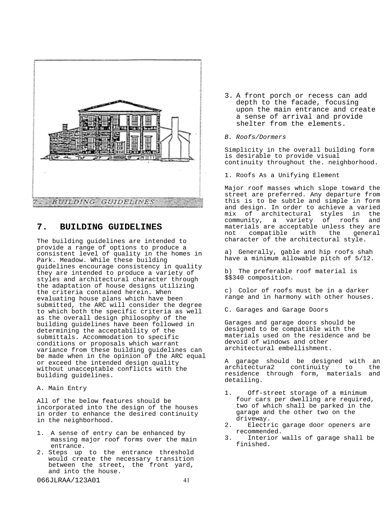

# **7. BUILDING GUIDELINES**

The building guidelines are intended to provide a range of options to produce a consistent level of quality in the homes in Park. Meadow. While these building guidelines encourage consistency in quality they are intended to produce a variety of styles and architectural character through the adaptation of house designs utilizing the criteria contained herein. When evaluating house plans which have been submitted, the ARC will consider the degree to which both the specific criteria as well as the overall design philosophy of the building guidelines have been followed in determining the acceptability of the submittals. Accommodation to specific conditions or proposals which warrant variance from these building guidelines can be made when in the opinion of the ARC equal or exceed the intended design quality without unacceptable conflicts with the building guidelines.

A. Main Entry

All of the below features should be incorporated into the design of the houses in order to enhance the desired continuity in the neighborhood.

- 1. A sense of entry can be enhanced by massing major roof forms over the main entrance.
- 2. Steps up to the entrance threshold would create the necessary transition between the street, the front yard, and into the house.

3. A front porch or recess can add depth to the facade, focusing upon the main entrance and create a sense of arrival and provide shelter from the elements.

## B. Roofs/Dormers

Simplicity in the overall building form is desirable to provide visual continuity throughout the. neighborhood.

1. Roofs As a Unifying Element

Major roof masses which slope toward the street are preferred. Any departure from this is to be subtle and simple in form and design. In order to achieve a varied mix of architectural styles in the community, a variety of roofs and materials are acceptable unless they are<br>not compatible with the general not compatible with the general character of the architectural style.

a) Generally, gable and hip roofs shah have a minimum allowable pitch of 5/12.

b) The preferable roof material is \$\$340 composition.

c) Color of roofs must be in a darker range and in harmony with other houses.

C. Garages and Garage Doors

Garages and garage doors should be designed to be compatible with the materials used on the residence and be devoid of windows and other architectural embellishment.

A garage should be designed with an architectura2 continuity to the residence through form, materials and detailing.

- 1. Off-street storage of a minimum four cars per dwelling are required, two of which shall be parked in the garage and the other two on the driveway.
- 2. Electric garage door openers are recommended.
- 3. Interior walls of garage shall be finished.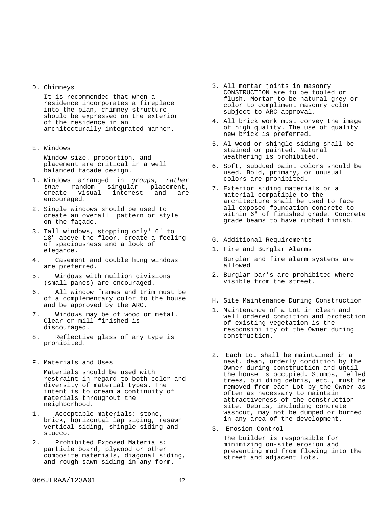D. Chimneys

It is recommended that when a residence incorporates a fireplace into the plan, chimney structure should be expressed on the exterior of the residence in an architecturally integrated manner.

E. Windows

Window size. proportion, and placement are critical in a well balanced facade design.

- 1. Windows arranged in groups, rather than random singular placement,<br>create visual interest and are create visual interest encouraged.
- 2. Single windows should be used to create an overall pattern or style on the façade.
- 3. Tall windows, stopping only' 6' to 18" above the floor, create a feeling of spaciousness and a look of elegance.
- 4. Casement and double hung windows are preferred.
- 5. Windows with mullion divisions (small panes) are encouraged.
- 6. All window frames and trim must be of a complementary color to the house and be approved by the ARC.
- 7. Windows may be of wood or metal. Clear or mill finished is discouraged.
- 8. Reflective glass of any type is prohibited.
- F. Materials and Uses

Materials should be used with restraint in regard to both color and diversity of material types. The intent is to cream a continuity of materials throughout the neighborhood.

- Acceptable materials: stone, brick, horizontal lap siding, resawn vertical siding, shingle siding and stucco.
- 2. Prohibited Exposed Materials: particle board, plywood or other composite materials, diagonal siding, and rough sawn siding in any form.
- 3. All mortar joints in masonry CONSTRUCTION are to be tooled or flush. Mortar to be natural grey or color to compliment masonry color subject to ARC approval.
- 4. All brick work must convey the image of high quality. The use of quality new brick is preferred**.**
- 5. Al wood or shingle siding shall be stained or painted. Natural weathering is prohibited.
- 6. Soft, subdued paint colors should be used. Bold, primary, or unusual colors are prohibited.
- 7. Exterior siding materials or a material compatible to the architecture shall be used to face all exposed foundation concrete to within 6" of finished grade. Concrete grade beams to have rubbed finish.
- G. Additional Requirements
- 1. Fire and Burglar Alarms Burglar and fire alarm systems are allowed
- 2. Burglar bar's are prohibited where visible from the street.
- H. Site Maintenance During Construction
- 1. Maintenance of a Lot in clean and well ordered condition and protection of existing vegetation is the responsibility of the Owner during construction.
- 2. Each Lot shall be maintained in a neat. dean, orderly condition by the Owner during construction and until the house is occupied. Stumps, felled trees, building debris, etc., must be removed from each Lot by the Owner as often as necessary to maintain attractiveness of the construction site. Debris, including concrete washout, may not be dumped or burned in any area of the development.
- 3. Erosion Control

The builder is responsible for minimizing on-site erosion and preventing mud from flowing into the street and adjacent Lots.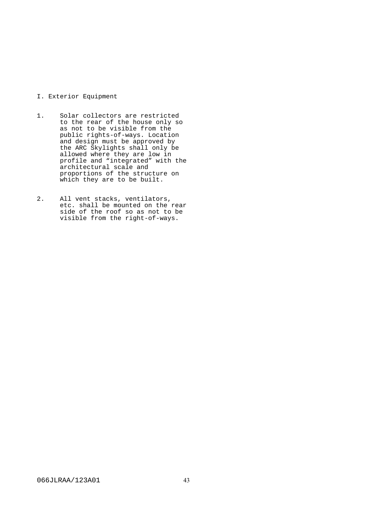# I. Exterior Equipment

- 1. Solar collectors are restricted to the rear of the house only so as not to be visible from the public rights-of-ways. Location and design must be approved by the ARC Skylights shall only be allowed where they are low in profile and "integrated" with the architectural scale and proportions of the structure on which they are to be built.
- 2. All vent stacks, ventilators, etc. shall be mounted on the rear side of the roof so as not to be visible from the right-of-ways.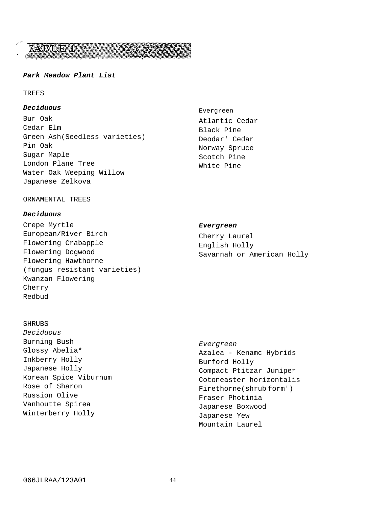# FABIOD T

# **Park Meadow Plant List**

# TREES

# **Deciduous**

Bur Oak Cedar Elm Green Ash(Seedless varieties) Pin Oak Sugar Maple London Plane Tree Water Oak Weeping Willow Japanese Zelkova

Evergreen Atlantic Cedar Black Pine Deodar' Cedar Norway Spruce Scotch Pine White Pine

#### ORNAMENTAL TREES

# **Deciduous**

Crepe Myrtle European/River Birch Flowering Crabapple Flowering Dogwood Flowering Hawthorne (fungus resistant varieties) Kwanzan Flowering Cherry Redbud

# **Evergreen**

Cherry Laurel English Holly Savannah or American Holly

# SHRUBS

Deciduous Burning Bush Glossy Abelia\* Inkberry Holly Japanese Holly Korean Spice Viburnum Rose of Sharon Russion Olive Vanhoutte Spirea Winterberry Holly

# Evergreen

Azalea - Kenamc Hybrids Burford Holly Compact Ptitzar Juniper Cotoneaster horizontalis Firethorne(shrub form') Fraser Photinia Japanese Boxwood Japanese Yew Mountain Laurel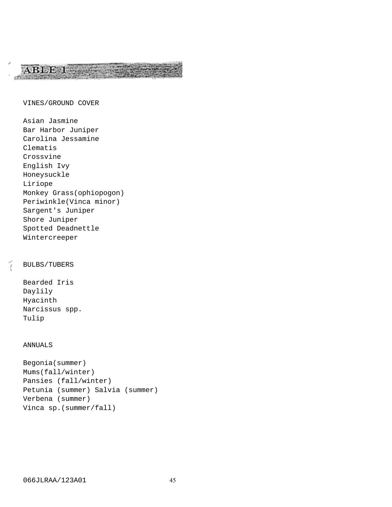# VINES/GROUND COVER

ABLE 1

Asian Jasmine Bar Harbor Juniper Carolina Jessamine Clematis Crossvine English Ivy Honeysuckle Liriope Monkey Grass(ophiopogon) Periwinkle(Vinca minor) Sargent's Juniper Shore Juniper Spotted Deadnettle Wintercreeper

# BULBS/TUBERS

Bearded Iris Daylily Hyacinth Narcissus spp. Tulip

# ANNUALS

```
Begonia(summer)
Mums(fall/winter)
Pansies (fall/winter)
Petunia (summer) Salvia (summer)
Verbena (summer)
Vinca sp.(summer/fall)
```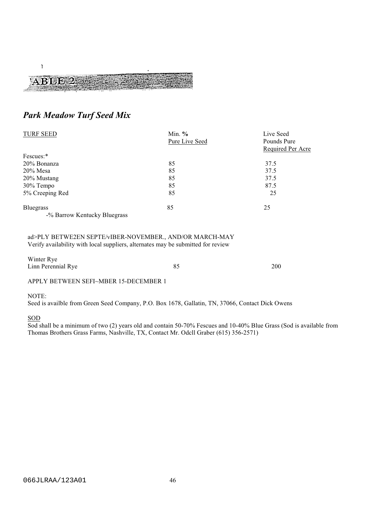# $\mathcal{L}$ ABBI 3

# Park Meadow Turf Seed Mix

| <b>TURF SEED</b>             | Min. $%$       | Live Seed         |  |  |
|------------------------------|----------------|-------------------|--|--|
|                              | Pure Live Seed | Pounds Pure       |  |  |
|                              |                | Required Per Acre |  |  |
| Fescues:*                    |                |                   |  |  |
| 20% Bonanza                  | 85             | 37.5              |  |  |
| $20\%$ Mesa                  | 85             | 37.5              |  |  |
| 20% Mustang                  | 85             | 37.5              |  |  |
| 30% Tempo                    | 85             | 87.5              |  |  |
| 5% Creeping Red              | 85             | 25                |  |  |
| <b>Bluegrass</b>             | 85             | 25                |  |  |
| -% Barrow Kentucky Bluegrass |                |                   |  |  |

# ad>PLY BETWE2EN SEPTE/vIBER-NOVEMBER., AND/OR MARCH-MAY Verify availability with local suppliers, alternates may be submitted for review

| Winter Rye<br>Linn Perennial Rye      | 85 | 200 |
|---------------------------------------|----|-----|
| APPLY BETWEEN SEFI~MBER 15-DECEMBER 1 |    |     |

# NOTE:

Seed is availble from Green Seed Company, P.O. Box 1678, Gallatin, TN, 37066, Contact Dick Owens

# SOD

Sod shall be a minimum of two (2) years old and contain 50-70% Fescues and  $10-40%$  Blue Grass (Sod is available from Thomas Brothers Grass Farms, Nashville, TX, Contact Mr. Odcll Graber (615) 356-2571)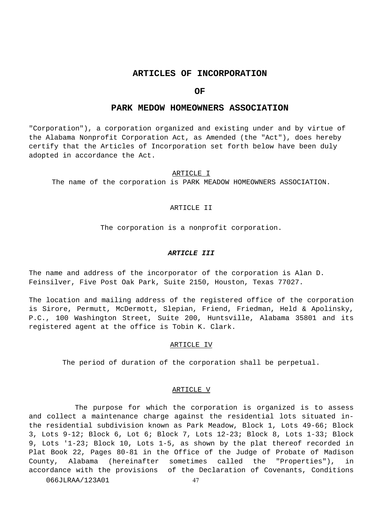# **ARTICLES OF INCORPORATION**

# **OF**

# **PARK MEDOW HOMEOWNERS ASSOCIATION**

"Corporation"), a corporation organized and existing under and by virtue of the Alabama Nonprofit Corporation Act, as Amended (the "Act"), does hereby certify that the Articles of Incorporation set forth below have been duly adopted in accordance the Act.

#### ARTICLE I

The name of the corporation is PARK MEADOW HOMEOWNERS ASSOCIATION.

#### ARTICLE II

The corporation is a nonprofit corporation.

#### **ARTICLE III**

The name and address of the incorporator of the corporation is Alan D. Feinsilver, Five Post Oak Park, Suite 2150, Houston, Texas 77027.

The location and mailing address of the registered office of the corporation is Sirore, Permutt, McDermott, Slepian, Friend, Friedman, Held & Apolinsky, P.C., 100 Washington Street, Suite 200, Huntsville, Alabama 35801 and its registered agent at the office is Tobin K. Clark.

#### ARTICLE IV

The period of duration of the corporation shall be perpetual.

#### ARTICLE V

The purpose for which the corporation is organized is to assess and collect a maintenance charge against the residential lots situated inthe residential subdivision known as Park Meadow, Block 1, Lots 49-66; Block 3, Lots 9-12; Block 6, Lot 6; Block 7, Lots 12-23; Block 8, Lots 1-33; Block 9, Lots '1-23; Block 10, Lots 1-5, as shown by the plat thereof recorded in Plat Book 22, Pages 80-81 in the Office of the Judge of Probate of Madison County, Alabama (hereinafter sometimes called the "Properties"), in accordance with the provisions of the Declaration of Covenants, Conditions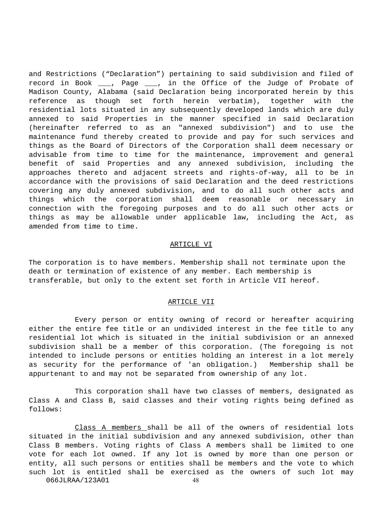and Restrictions ("Declaration") pertaining to said subdivision and filed of record in Book \_\_\_, Page \_\_\_, in the Office of the Judge of Probate of Madison County, Alabama (said Declaration being incorporated herein by this reference as though set forth herein verbatim), together with the residential lots situated in any subsequently developed lands which are duly annexed to said Properties in the manner specified in said Declaration (hereinafter referred to as an "annexed subdivision") and to use the maintenance fund thereby created to provide and pay for such services and things as the Board of Directors of the Corporation shall deem necessary or advisable from time to time for the maintenance, improvement and general benefit of said Properties and any annexed subdivision, including the approaches thereto and adjacent streets and rights-of-way, all to be in accordance with the provisions of said Declaration and the deed restrictions covering any duly annexed subdivision, and to do all such other acts and things which the corporation shall deem reasonable or necessary in connection with the foregoing purposes and to do all such other acts or things as may be allowable under applicable law, including the Act, as amended from time to time.

# ARTICLE VI

The corporation is to have members. Membership shall not terminate upon the death or termination of existence of any member. Each membership is transferable, but only to the extent set forth in Article VII hereof.

#### ARTICLE VII

Every person or entity owning of record or hereafter acquiring either the entire fee title or an undivided interest in the fee title to any residential lot which is situated in the initial subdivision or an annexed subdivision shall be a member of this corporation. (The foregoing is not intended to include persons or entities holding an interest in a lot merely as security for the performance of 'an obligation.) Membership shall be appurtenant to and may not be separated from ownership of any lot.

This corporation shall have two classes of members, designated as Class A and Class B, said classes and their voting rights being defined as follows:

Class A members shall be all of the owners of residential lots situated in the initial subdivision and any annexed subdivision, other than Class B members. Voting rights of Class A members shall be limited to one vote for each lot owned. If any lot is owned by more than one person or entity, all such persons or entities shall be members and the vote to which such lot is entitled shall be exercised as the owners of such lot may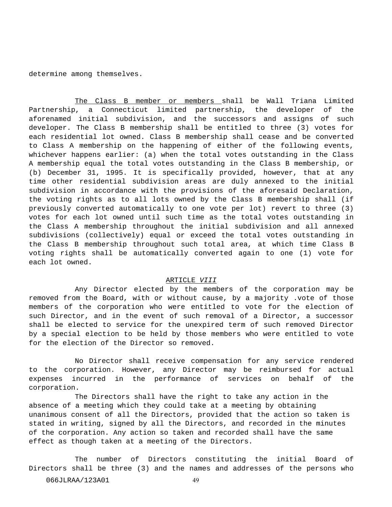determine among themselves.

The Class B member or members shall be Wall Triana Limited Partnership, a Connecticut limited partnership, the developer of the aforenamed initial subdivision, and the successors and assigns of such developer. The Class B membership shall be entitled to three (3) votes for each residential lot owned. Class B membership shall cease and be converted to Class A membership on the happening of either of the following events, whichever happens earlier: (a) when the total votes outstanding in the Class A membership equal the total votes outstanding in the Class B membership, or (b) December 31, 1995. It is specifically provided, however, that at any time other residential subdivision areas are duly annexed to the initial subdivision in accordance with the provisions of the aforesaid Declaration, the voting rights as to all lots owned by the Class B membership shall (if previously converted automatically to one vote per lot) revert to three (3) votes for each lot owned until such time as the total votes outstanding in the Class A membership throughout the initial subdivision and all annexed subdivisions (collectively) equal or exceed the total votes outstanding in the Class B membership throughout such total area, at which time Class B voting rights shall be automatically converted again to one (1) vote for each lot owned.

#### ARTICLE VIII

Any Director elected by the members of the corporation may be removed from the Board, with or without cause, by a majority .vote of those members of the corporation who were entitled to vote for the election of such Director, and in the event of such removal of a Director, a successor shall be elected to service for the unexpired term of such removed Director by a special election to be held by those members who were entitled to vote for the election of the Director so removed.

No Director shall receive compensation for any service rendered to the corporation. However, any Director may be reimbursed for actual expenses incurred in the performance of services on behalf of the corporation.

The Directors shall have the right to take any action in the absence of a meeting which they could take at a meeting by obtaining unanimous consent of all the Directors, provided that the action so taken is stated in writing, signed by all the Directors, and recorded in the minutes of the corporation. Any action so taken and recorded shall have the same effect as though taken at a meeting of the Directors.

The number of Directors constituting the initial Board of Directors shall be three (3) and the names and addresses of the persons who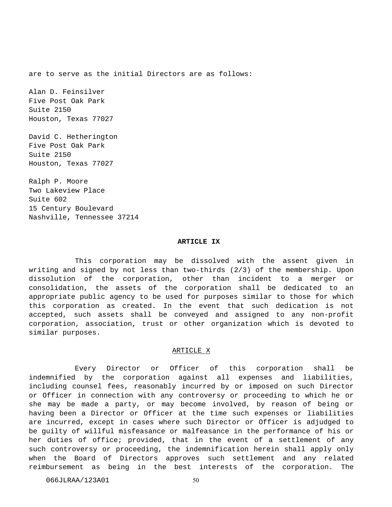are to serve as the initial Directors are as follows:

Alan D. Feinsilver Five Post Oak Park Suite 2150 Houston, Texas 77027

David C. Hetherington Five Post Oak Park Suite 2150 Houston, Texas 77027

Ralph P. Moore Two Lakeview Place Suite 602 15 Century Boulevard Nashville, Tennessee 37214

#### **ARTICLE IX**

This corporation may be dissolved with the assent given in writing and signed by not less than two-thirds (2/3) of the membership. Upon dissolution of the corporation, other than incident to a merger or consolidation, the assets of the corporation shall be dedicated to an appropriate public agency to be used for purposes similar to those for which this corporation as created. In the event that such dedication is not accepted, such assets shall be conveyed and assigned to any non-profit corporation, association, trust or other organization which is devoted to similar purposes.

#### ARTICLE X

Every Director or Officer of this corporation shall be indemnified by the corporation against all expenses and liabilities, including counsel fees, reasonably incurred by or imposed on such Director or Officer in connection with any controversy or proceeding to which he or she may be made a party, or may become involved, by reason of being or having been a Director or Officer at the time such expenses or liabilities are incurred, except in cases where such Director or Officer is adjudged to be guilty of willful misfeasance or malfeasance in the performance of his or her duties of office; provided, that in the event of a settlement of any such controversy or proceeding, the indemnification herein shall apply only when the Board of Directors approves such settlement and any related reimbursement as being in the best interests of the corporation. The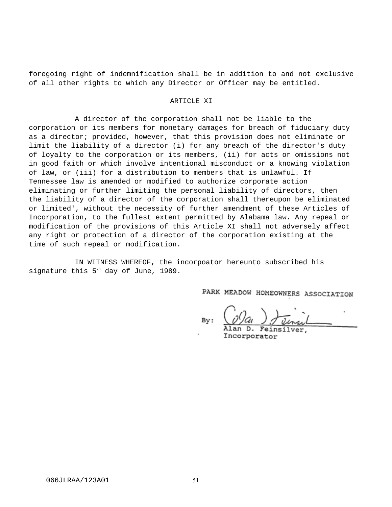foregoing right of indemnification shall be in addition to and not exclusive of all other rights to which any Director or Officer may be entitled.

#### ARTICLE XI

A director of the corporation shall not be liable to the corporation or its members for monetary damages for breach of fiduciary duty as a director; provided, however, that this provision does not eliminate or limit the liability of a director (i) for any breach of the director's duty of loyalty to the corporation or its members, (ii) for acts or omissions not in good faith or which involve intentional misconduct or a knowing violation of law, or (iii) for a distribution to members that is unlawful. If Tennessee law is amended or modified to authorize corporate action eliminating or further limiting the personal liability of directors, then the liability of a director of the corporation shall thereupon be eliminated or limited', without the necessity of further amendment of these Articles of Incorporation, to the fullest extent permitted by Alabama law. Any repeal or modification of the provisions of this Article XI shall not adversely affect any right or protection of a director of the corporation existing at the time of such repeal or modification.

IN WITNESS WHEREOF, the incorpoator hereunto subscribed his signature this  $5<sup>th</sup>$  day of June, 1989.

PARK MEADOW HOMEOWNERS ASSOCIATION

By:

Incorporator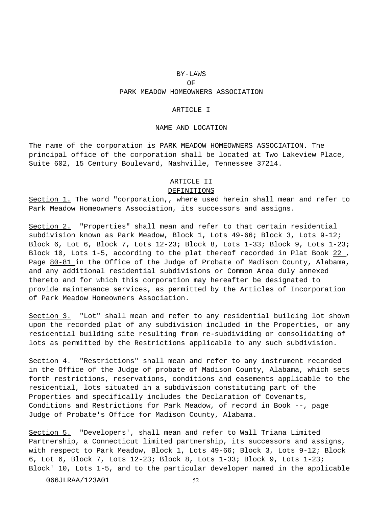# BY-LAWS

# OF

# PARK MEADOW HOMEOWNERS ASSOCIATION

# ARTICLE I

#### NAME AND LOCATION

The name of the corporation is PARK MEADOW HOMEOWNERS ASSOCIATION. The principal office of the corporation shall be located at Two Lakeview Place, Suite 602, 15 Century Boulevard, Nashville, Tennessee 37214.

# ARTICLE II

#### DEFINITIONS

Section 1. The word "corporation,, where used herein shall mean and refer to Park Meadow Homeowners Association, its successors and assigns.

Section 2. "Properties" shall mean and refer to that certain residential subdivision known as Park Meadow, Block 1, Lots 49-66; Block 3, Lots 9-12; Block 6, Lot 6, Block 7, Lots 12-23; Block 8, Lots 1-33; Block 9, Lots 1-23; Block 10, Lots 1-5, according to the plat thereof recorded in Plat Book 22 , Page 80-81 in the Office of the Judge of Probate of Madison County, Alabama, and any additional residential subdivisions or Common Area duly annexed thereto and for which this corporation may hereafter be designated to provide maintenance services, as permitted by the Articles of Incorporation of Park Meadow Homeowners Association.

Section 3. "Lot" shall mean and refer to any residential building lot shown upon the recorded plat of any subdivision included in the Properties, or any residential building site resulting from re-subdividing or consolidating of lots as permitted by the Restrictions applicable to any such subdivision.

Section 4. "Restrictions" shall mean and refer to any instrument recorded in the Office of the Judge of probate of Madison County, Alabama, which sets forth restrictions, reservations, conditions and easements applicable to the residential, lots situated in a subdivision constituting part of the Properties and specifically includes the Declaration of Covenants, Conditions and Restrictions for Park Meadow, of record in Book --, page Judge of Probate's Office for Madison County, Alabama.

Section 5. "Developers', shall mean and refer to Wall Triana Limited Partnership, a Connecticut limited partnership, its successors and assigns, with respect to Park Meadow, Block 1, Lots 49-66; Block 3, Lots 9-12; Block 6, Lot 6, Block 7, Lots 12-23; Block 8, Lots 1-33; Block 9, Lots 1-23; Block' 10, Lots 1-5, and to the particular developer named in the applicable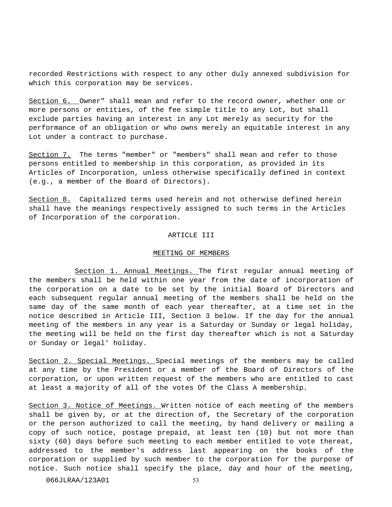recorded Restrictions with respect to any other duly annexed subdivision for which this corporation may be services.

Section 6. Owner" shall mean and refer to the record owner, whether one or more persons or entities, of the fee simple title to any Lot, but shall exclude parties having an interest in any Lot merely as security for the performance of an obligation or who owns merely an equitable interest in any Lot under a contract to purchase.

Section 7. The terms "member" or "members" shall mean and refer to those persons entitled to membership in this corporation, as provided in its Articles of Incorporation, unless otherwise specifically defined in context (e.g., a member of the Board of Directors).

Section 8. Capitalized terms used herein and not otherwise defined herein shall have the meanings respectively assigned to such terms in the Articles of Incorporation of the corporation.

#### ARTICLE III

# MEETING OF MEMBERS

Section 1. Annual Meetings. The first regular annual meeting of the members shall be held within one year from the date of incorporation of the corporation on a date to be set by the initial Board of Directors and each subsequent regular annual meeting of the members shall be held on the same day of the same month of each year thereafter, at a time set in the notice described in Article III, Section 3 below. If the day for the annual meeting of the members in any year is a Saturday or Sunday or legal holiday, the meeting will be held on the first day thereafter which is not a Saturday or Sunday or legal' holiday.

Section 2. Special Meetings. Special meetings of the members may be called at any time by the President or a member of the Board of Directors of the corporation, or upon written request of the members who are entitled to cast at least a majority of all of the votes Of the Class A membership.

Section 3. Notice of Meetings. Written notice of each meeting of the members shall be given by, or at the direction of, the Secretary of the corporation or the person authorized to call the meeting, by hand delivery or mailing a copy of such notice, postage prepaid, at least ten (10) but not more than sixty (60) days before such meeting to each member entitled to vote thereat, addressed to the member's address last appearing on the books of the corporation or supplied by such member to the corporation for the purpose of notice. Such notice shall specify the place, day and hour of the meeting,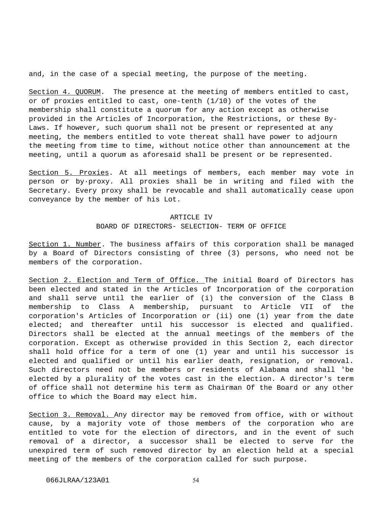and, in the case of a special meeting, the purpose of the meeting.

Section 4. QUORUM. The presence at the meeting of members entitled to cast, or of proxies entitled to cast, one-tenth (1/10) of the votes of the membership shall constitute a quorum for any action except as otherwise provided in the Articles of Incorporation, the Restrictions, or these By-Laws. If however, such quorum shall not be present or represented at any meeting, the members entitled to vote thereat shall have power to adjourn the meeting from time to time, without notice other than announcement at the meeting, until a quorum as aforesaid shall be present or be represented.

Section 5. Proxies. At all meetings of members, each member may vote in person or by·proxy. All proxies shall be in writing and filed with the Secretary. Every proxy shall be revocable and shall automatically cease upon conveyance by the member of his Lot.

#### ARTICLE IV

# BOARD OF DIRECTORS- SELECTION- TERM OF OFFICE

Section 1. Number. The business affairs of this corporation shall be managed by a Board of Directors consisting of three (3) persons, who need not be members of the corporation.

Section 2. Election and Term of Office. The initial Board of Directors has been elected and stated in the Articles of Incorporation of the corporation and shall serve until the earlier of (i) the conversion of the Class B membership to Class A membership, pursuant to Article VII of the corporation's Articles of Incorporation or (ii) one (1) year from the date elected; and thereafter until his successor is elected and qualified. Directors shall be elected at the annual meetings of the members of the corporation. Except as otherwise provided in this Section 2, each director shall hold office for a term of one (1) year and until his successor is elected and qualified or until his earlier death, resignation, or removal. Such directors need not be members or residents of Alabama and shall 'be elected by a plurality of the votes cast in the election. A director's term of office shall not determine his term as Chairman Of the Board or any other office to which the Board may elect him.

Section 3. Removal. Any director may be removed from office, with or without cause, by a majority vote of those members of the corporation who are entitled to vote for the election of directors, and in the event of such removal of a director, a successor shall be elected to serve for the unexpired term of such removed director by an election held at a special meeting of the members of the corporation called for such purpose.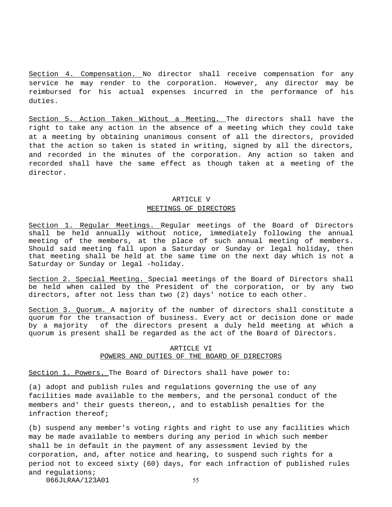Section 4. Compensation. No director shall receive compensation for any service he may render to the corporation. However, any director may be reimbursed for his actual expenses incurred in the performance of his duties.

Section 5. Action Taken Without a Meeting. The directors shall have the right to take any action in the absence of a meeting which they could take at a meeting by obtaining unanimous consent of all the directors, provided that the action so taken is stated in writing, signed by all the directors, and recorded in the minutes of the corporation. Any action so taken and recorded shall have the same effect as though taken at a meeting of the director.

# ARTICLE V MEETINGS OF DIRECTORS

Section 1. Regular Meetings. Regular meetings of the Board of Directors shall be held annually without notice, immediately following the annual meeting of the members, at the place of such annual meeting of members. Should said meeting fall upon a Saturday or Sunday or legal holiday, then that meeting shall be held at the same time on the next day which is not a Saturday or Sunday or legal -holiday.

Section 2. Special Meeting. Special meetings of the Board of Directors shall be held when called by the President of the corporation, or by any two directors, after not less than two (2) days' notice to each other.

Section 3. Quorum. A majority of the number of directors shall constitute a quorum for the transaction of business. Every act or decision done or made by a majority of the directors present a duly held meeting at which a quorum is present shall be regarded as the act of the Board of Directors.

# ARTICLE VI POWERS AND DUTIES OF THE BOARD OF DIRECTORS

Section 1. Powers. The Board of Directors shall have power to:

(a) adopt and publish rules and regulations governing the use of any facilities made available to the members, and the personal conduct of the members and' their guests thereon,, and to establish penalties for the infraction thereof;

(b) suspend any member's voting rights and right to use any facilities which may be made available to members during any period in which such member shall be in default in the payment of any assessment levied by the corporation, and, after notice and hearing, to suspend such rights for a period not to exceed sixty (60) days, for each infraction of published rules and regulations;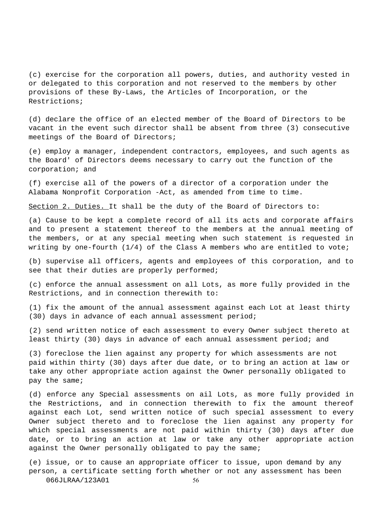(c) exercise for the corporation all powers, duties, and authority vested in or delegated to this corporation and not reserved to the members by other provisions of these By-Laws, the Articles of Incorporation, or the Restrictions;

(d) declare the office of an elected member of the Board of Directors to be vacant in the event such director shall be absent from three (3) consecutive meetings of the Board of Directors;

(e) employ a manager, independent contractors, employees, and such agents as the Board' of Directors deems necessary to carry out the function of the corporation; and

(f) exercise all of the powers of a director of a corporation under the Alabama Nonprofit Corporation -Act, as amended from time to time.

Section 2. Duties. It shall be the duty of the Board of Directors to:

(a) Cause to be kept a complete record of all its acts and corporate affairs and to present a statement thereof to the members at the annual meeting of the members, or at any special meeting when such statement is requested in writing by one-fourth (1/4) of the Class A members who are entitled to vote;

(b) supervise all officers, agents and employees of this corporation, and to see that their duties are properly performed;

(c) enforce the annual assessment on all Lots, as more fully provided in the Restrictions, and in connection therewith to:

(1) fix the amount of the annual assessment against each Lot at least thirty (30) days in advance of each annual assessment period;

(2) send written notice of each assessment to every Owner subject thereto at least thirty (30) days in advance of each annual assessment period; and

(3) foreclose the lien against any property for which assessments are not paid within thirty (30) days after due date, or to bring an action at law or take any other appropriate action against the Owner personally obligated to pay the same;

(d) enforce any Special assessments on ail Lots, as more fully provided in the Restrictions, and in connection therewith to fix the amount thereof against each Lot, send written notice of such special assessment to every Owner subject thereto and to foreclose the lien against any property for which special assessments are not paid within thirty (30) days after due date, or to bring an action at law or take any other appropriate action against the Owner personally obligated to pay the same;

(e) issue, or to cause an appropriate officer to issue, upon demand by any person, a certificate setting forth whether or not any assessment has been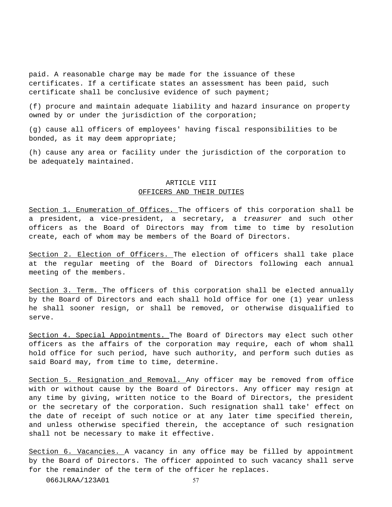paid. A reasonable charge may be made for the issuance of these certificates. If a certificate states an assessment has been paid, such certificate shall be conclusive evidence of such payment;

(f) procure and maintain adequate liability and hazard insurance on property owned by or under the jurisdiction of the corporation;

(g) cause all officers of employees' having fiscal responsibilities to be bonded, as it may deem appropriate;

(h) cause any area or facility under the jurisdiction of the corporation to be adequately maintained.

# ARTICLE VIII OFFICERS AND THEIR DUTIES

Section 1. Enumeration of Offices. The officers of this corporation shall be a president, a vice-president, a secretary, a treasurer and such other officers as the Board of Directors may from time to time by resolution create, each of whom may be members of the Board of Directors.

Section 2. Election of Officers. The election of officers shall take place at the regular meeting of the Board of Directors following each annual meeting of the members.

Section 3. Term. The officers of this corporation shall be elected annually by the Board of Directors and each shall hold office for one (1) year unless he shall sooner resign, or shall be removed, or otherwise disqualified to serve.

Section 4. Special Appointments. The Board of Directors may elect such other officers as the affairs of the corporation may require, each of whom shall hold office for such period, have such authority, and perform such duties as said Board may, from time to time, determine.

Section 5. Resignation and Removal. Any officer may be removed from office with or without cause by the Board of Directors. Any officer may resign at any time by giving, written notice to the Board of Directors, the president or the secretary of the corporation. Such resignation shall take' effect on the date of receipt of such notice or at any later time specified therein, and unless otherwise specified therein, the acceptance of such resignation shall not be necessary to make it effective.

Section 6. Vacancies. A vacancy in any office may be filled by appointment by the Board of Directors. The officer appointed to such vacancy shall serve for the remainder of the term of the officer he replaces.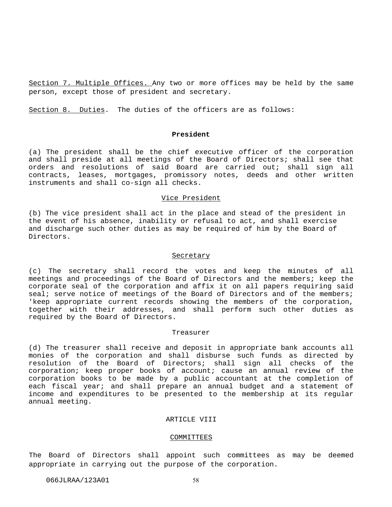Section 7. Multiple Offices. Any two or more offices may be held by the same person, except those of president and secretary.

Section 8. Duties. The duties of the officers are as follows:

#### **President**

(a) The president shall be the chief executive officer of the corporation and shall preside at all meetings of the Board of Directors; shall see that orders and resolutions of said Board are carried out; shall sign all contracts, leases, mortgages, promissory notes, deeds and other written instruments and shall co-sign all checks.

# Vice President

(b) The vice president shall act in the place and stead of the president in the event of his absence, inability or refusal to act, and shall exercise and discharge such other duties as may be required of him by the Board of Directors.

#### **Secretary**

(c) The secretary shall record the votes and keep the minutes of all meetings and proceedings of the Board of Directors and the members; keep the corporate seal of the corporation and affix it on all papers requiring said seal; serve notice of meetings of the Board of Directors and of the members; 'keep appropriate current records showing the members of the corporation, together with their addresses, and shall perform such other duties as required by the Board of Directors.

#### Treasurer

(d) The treasurer shall receive and deposit in appropriate bank accounts all monies of the corporation and shall disburse such funds as directed by resolution of the Board of Directors; shall sign all checks of the corporation; keep proper books of account; cause an annual review of the corporation books to be made by a public accountant at the completion of each fiscal year; and shall prepare an annual budget and a statement of income and expenditures to be presented to the membership at its regular annual meeting.

# ARTICLE VIII

#### COMMITTEES

The Board of Directors shall appoint such committees as may be deemed appropriate in carrying out the purpose of the corporation.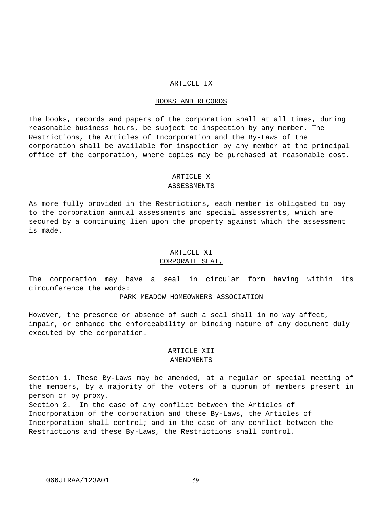# ARTICLE IX

# BOOKS AND RECORDS

The books, records and papers of the corporation shall at all times, during reasonable business hours, be subject to inspection by any member. The Restrictions, the Articles of Incorporation and the By-Laws of the corporation shall be available for inspection by any member at the principal office of the corporation, where copies may be purchased at reasonable cost.

### ARTICLE X

# ASSESSMENTS

As more fully provided in the Restrictions, each member is obligated to pay to the corporation annual assessments and special assessments, which are secured by a continuing lien upon the property against which the assessment is made.

# ARTICLE XI CORPORATE SEAT,

The corporation may have a seal in circular form having within its circumference the words:

# PARK MEADOW HOMEOWNERS ASSOCIATION

However, the presence or absence of such a seal shall in no way affect, impair, or enhance the enforceability or binding nature of any document duly executed by the corporation.

# ARTICLE XII AMENDMENTS

Section 1. These By-Laws may be amended, at a regular or special meeting of the members, by a majority of the voters of a quorum of members present in person or by proxy.

Section 2. In the case of any conflict between the Articles of Incorporation of the corporation and these By-Laws, the Articles of Incorporation shall control; and in the case of any conflict between the Restrictions and these By-Laws, the Restrictions shall control.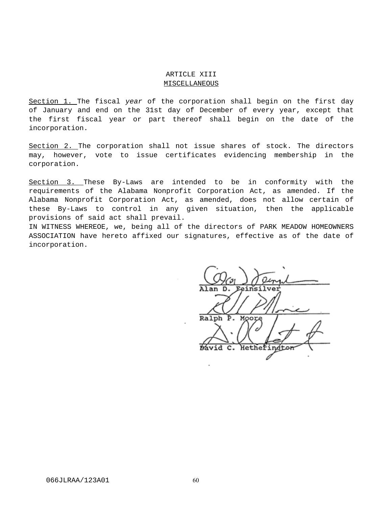# ARTICLE XIII **MISCELLANEOUS**

Section 1. The fiscal year of the corporation shall begin on the first day of January and end on the 31st day of December of every year, except that the first fiscal year or part thereof shall begin on the date of the incorporation.

Section 2. The corporation shall not issue shares of stock. The directors may, however, vote to issue certificates evidencing membership in the corporation.

Section 3. These By-Laws are intended to be in conformity with the requirements of the Alabama Nonprofit Corporation Act, as amended. If the Alabama Nonprofit Corporation Act, as amended, does not allow certain of these By-Laws to control in any given situation, then the applicable provisions of said act shall prevail.

IN WITNESS WHEREOE, we, being all of the directors of PARK MEADOW HOMEOWNERS ASSOCIATION have hereto affixed our signatures, effective as of the date of incorporation.

Ralph Þ. Bávid c. Hethei